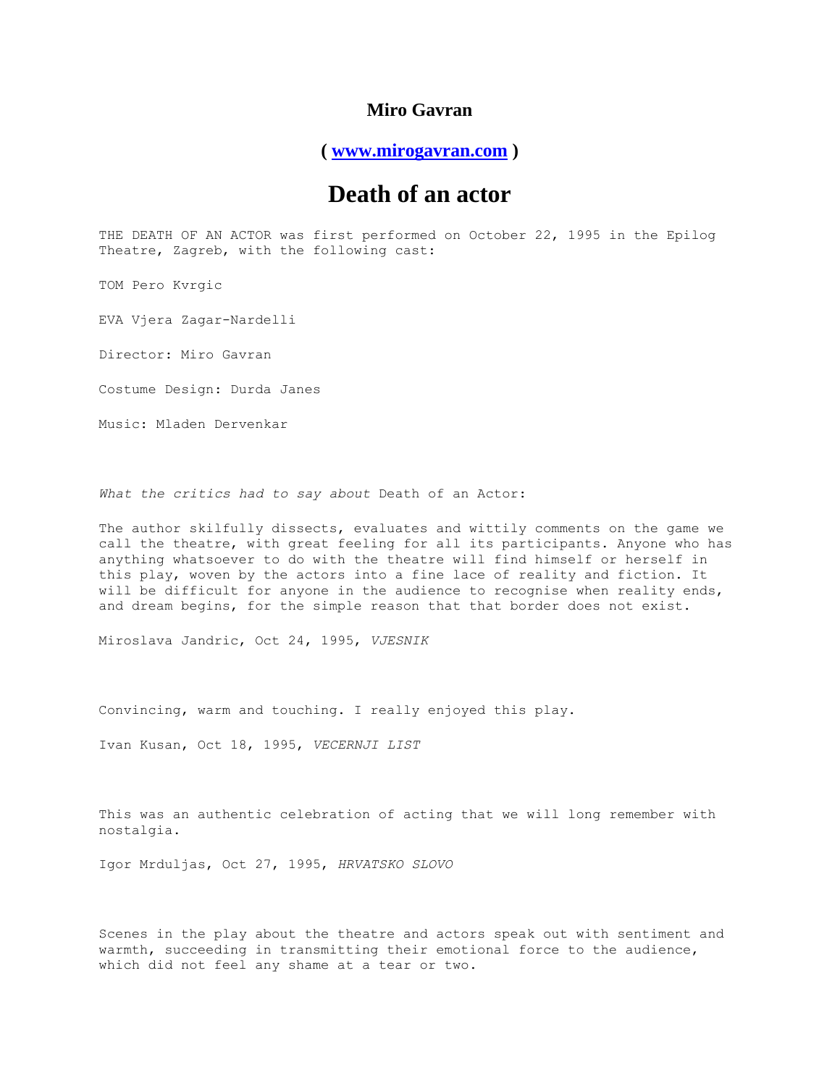## **Miro Gavran**

**( [www.mirogavran.com](http://www.mirogavran.com/) )**

## **Death of an actor**

THE DEATH OF AN ACTOR was first performed on October 22, 1995 in the Epilog Theatre, Zagreb, with the following cast:

TOM Pero Kvrgic

EVA Vjera Zagar-Nardelli

Director: Miro Gavran

Costume Design: Durda Janes

Music: Mladen Dervenkar

*What the critics had to say about* Death of an Actor:

The author skilfully dissects, evaluates and wittily comments on the game we call the theatre, with great feeling for all its participants. Anyone who has anything whatsoever to do with the theatre will find himself or herself in this play, woven by the actors into a fine lace of reality and fiction. It will be difficult for anyone in the audience to recognise when reality ends, and dream begins, for the simple reason that that border does not exist.

Miroslava Jandric, Oct 24, 1995, *VJESNIK*

Convincing, warm and touching. I really enjoyed this play.

Ivan Kusan, Oct 18, 1995, *VECERNJI LIST*

This was an authentic celebration of acting that we will long remember with nostalgia.

Igor Mrduljas, Oct 27, 1995, *HRVATSKO SLOVO*

Scenes in the play about the theatre and actors speak out with sentiment and warmth, succeeding in transmitting their emotional force to the audience, which did not feel any shame at a tear or two.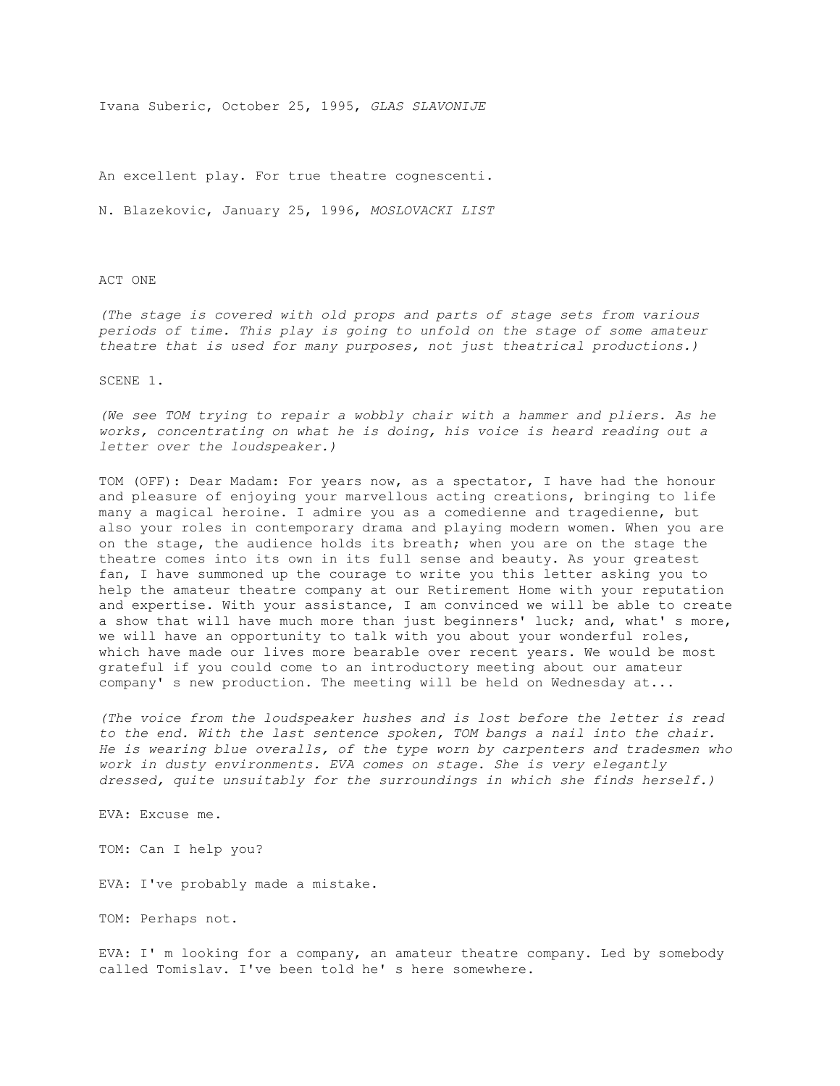Ivana Suberic, October 25, 1995, *GLAS SLAVONIJE*

An excellent play. For true theatre cognescenti.

N. Blazekovic, January 25, 1996, *MOSLOVACKI LIST*

## ACT ONE

*(The stage is covered with old props and parts of stage sets from various periods of time. This play is going to unfold on the stage of some amateur theatre that is used for many purposes, not just theatrical productions.)*

## SCENE 1.

*(We see TOM trying to repair a wobbly chair with a hammer and pliers. As he works, concentrating on what he is doing, his voice is heard reading out a letter over the loudspeaker.)*

TOM (OFF): Dear Madam: For years now, as a spectator, I have had the honour and pleasure of enjoying your marvellous acting creations, bringing to life many a magical heroine. I admire you as a comedienne and tragedienne, but also your roles in contemporary drama and playing modern women. When you are on the stage, the audience holds its breath; when you are on the stage the theatre comes into its own in its full sense and beauty. As your greatest fan, I have summoned up the courage to write you this letter asking you to help the amateur theatre company at our Retirement Home with your reputation and expertise. With your assistance, I am convinced we will be able to create a show that will have much more than just beginners' luck; and, what' s more, we will have an opportunity to talk with you about your wonderful roles, which have made our lives more bearable over recent years. We would be most grateful if you could come to an introductory meeting about our amateur company' s new production. The meeting will be held on Wednesday at...

*(The voice from the loudspeaker hushes and is lost before the letter is read to the end. With the last sentence spoken, TOM bangs a nail into the chair. He is wearing blue overalls, of the type worn by carpenters and tradesmen who work in dusty environments. EVA comes on stage. She is very elegantly dressed, quite unsuitably for the surroundings in which she finds herself.)*

EVA: Excuse me.

TOM: Can I help you?

EVA: I've probably made a mistake.

TOM: Perhaps not.

EVA: I' m looking for a company, an amateur theatre company. Led by somebody called Tomislav. I've been told he' s here somewhere.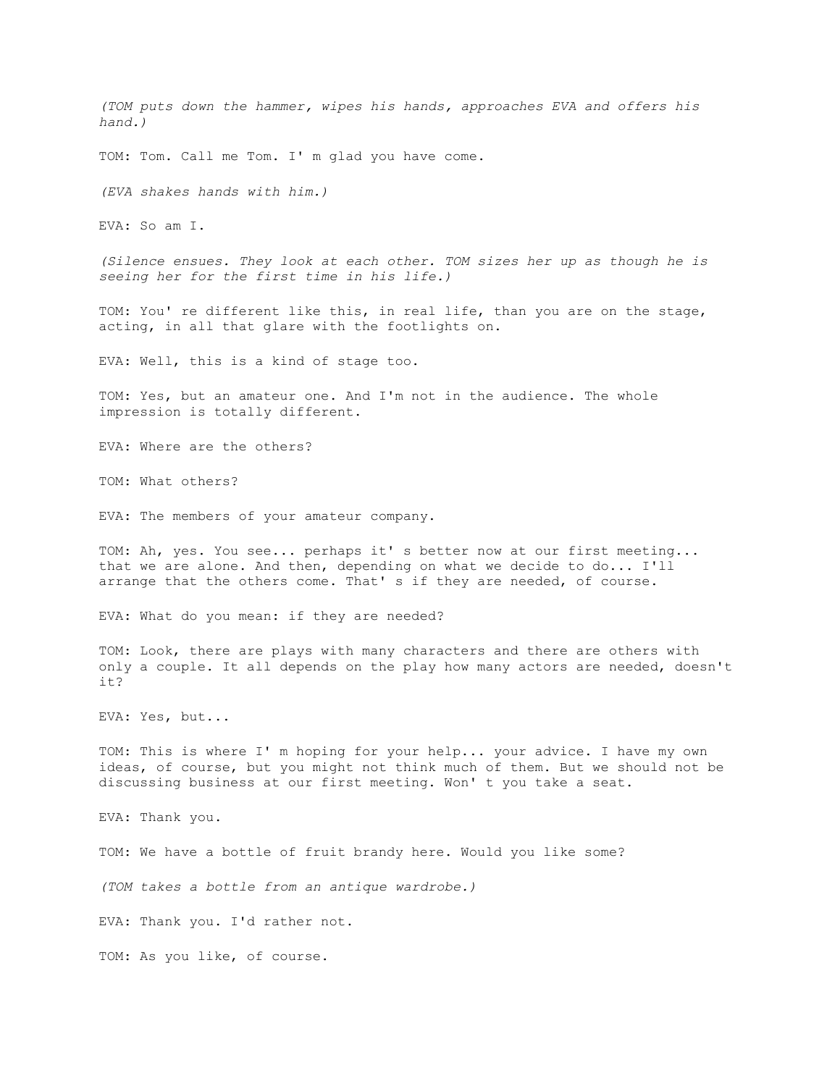*(TOM puts down the hammer, wipes his hands, approaches EVA and offers his hand.)*

TOM: Tom. Call me Tom. I' m glad you have come.

*(EVA shakes hands with him.)*

EVA: So am I.

*(Silence ensues. They look at each other. TOM sizes her up as though he is seeing her for the first time in his life.)*

TOM: You' re different like this, in real life, than you are on the stage, acting, in all that glare with the footlights on.

EVA: Well, this is a kind of stage too.

TOM: Yes, but an amateur one. And I'm not in the audience. The whole impression is totally different.

EVA: Where are the others?

TOM: What others?

EVA: The members of your amateur company.

TOM: Ah, yes. You see... perhaps it' s better now at our first meeting... that we are alone. And then, depending on what we decide to do... I'll arrange that the others come. That' s if they are needed, of course.

EVA: What do you mean: if they are needed?

TOM: Look, there are plays with many characters and there are others with only a couple. It all depends on the play how many actors are needed, doesn't  $i+2$ 

EVA: Yes, but...

TOM: This is where I' m hoping for your help... your advice. I have my own ideas, of course, but you might not think much of them. But we should not be discussing business at our first meeting. Won' t you take a seat.

EVA: Thank you.

TOM: We have a bottle of fruit brandy here. Would you like some?

*(TOM takes a bottle from an antique wardrobe.)*

EVA: Thank you. I'd rather not.

TOM: As you like, of course.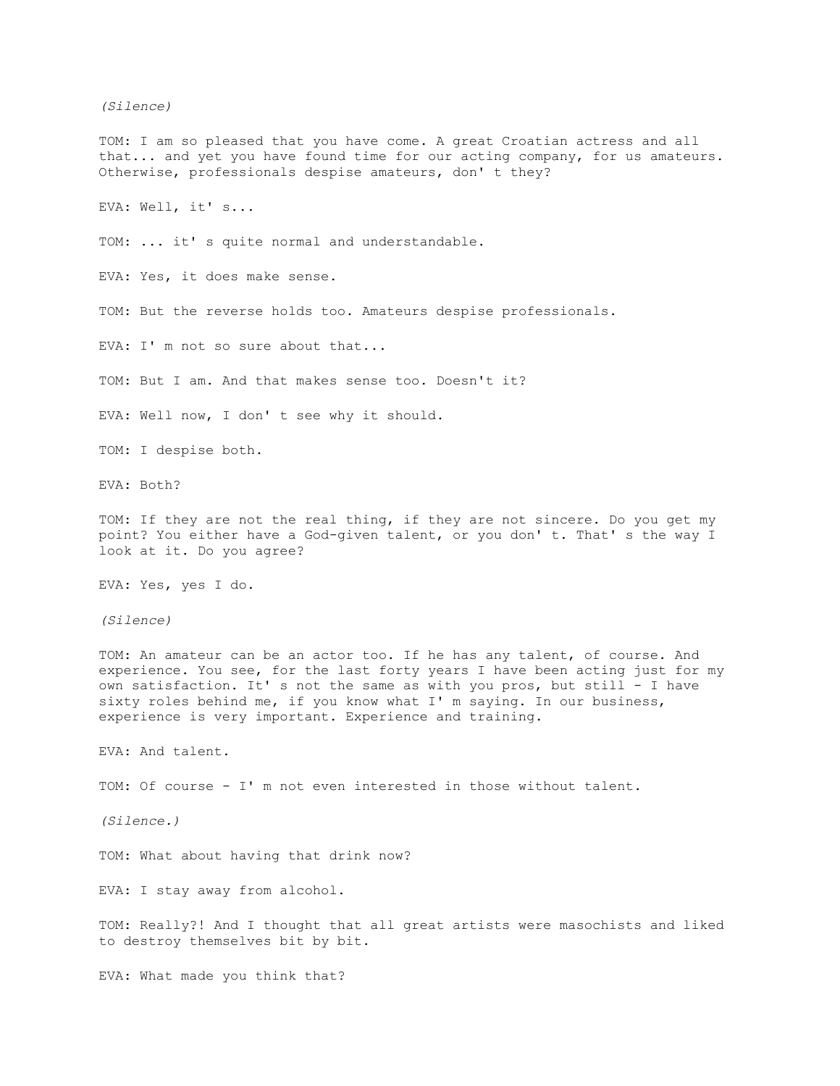*(Silence)*

TOM: I am so pleased that you have come. A great Croatian actress and all that... and yet you have found time for our acting company, for us amateurs. Otherwise, professionals despise amateurs, don' t they?

EVA: Well, it' s...

TOM: ... it' s quite normal and understandable.

EVA: Yes, it does make sense.

TOM: But the reverse holds too. Amateurs despise professionals.

EVA: I' m not so sure about that...

TOM: But I am. And that makes sense too. Doesn't it?

EVA: Well now, I don' t see why it should.

TOM: I despise both.

EVA: Both?

TOM: If they are not the real thing, if they are not sincere. Do you get my point? You either have a God-given talent, or you don' t. That' s the way I look at it. Do you agree?

EVA: Yes, yes I do.

*(Silence)*

TOM: An amateur can be an actor too. If he has any talent, of course. And experience. You see, for the last forty years I have been acting just for my own satisfaction. It' s not the same as with you pros, but still - I have sixty roles behind me, if you know what I' m saying. In our business, experience is very important. Experience and training.

EVA: And talent.

TOM: Of course - I' m not even interested in those without talent.

*(Silence.)*

TOM: What about having that drink now?

EVA: I stay away from alcohol.

TOM: Really?! And I thought that all great artists were masochists and liked to destroy themselves bit by bit.

EVA: What made you think that?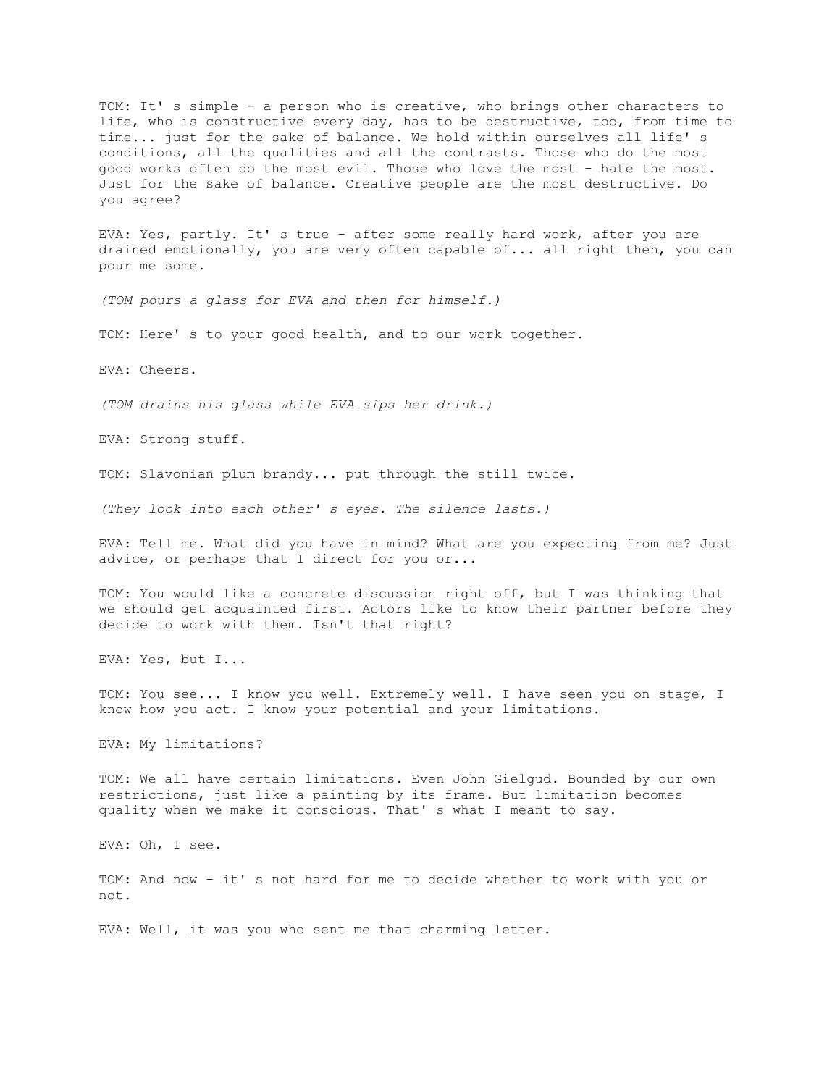TOM: It' s simple - a person who is creative, who brings other characters to life, who is constructive every day, has to be destructive, too, from time to time... just for the sake of balance. We hold within ourselves all life' s conditions, all the qualities and all the contrasts. Those who do the most good works often do the most evil. Those who love the most - hate the most. Just for the sake of balance. Creative people are the most destructive. Do you agree?

EVA: Yes, partly. It' s true - after some really hard work, after you are drained emotionally, you are very often capable of... all right then, you can pour me some.

*(TOM pours a glass for EVA and then for himself.)*

TOM: Here' s to your good health, and to our work together.

EVA: Cheers.

*(TOM drains his glass while EVA sips her drink.)*

EVA: Strong stuff.

TOM: Slavonian plum brandy... put through the still twice.

*(They look into each other' s eyes. The silence lasts.)*

EVA: Tell me. What did you have in mind? What are you expecting from me? Just advice, or perhaps that I direct for you or...

TOM: You would like a concrete discussion right off, but I was thinking that we should get acquainted first. Actors like to know their partner before they decide to work with them. Isn't that right?

EVA: Yes, but I...

TOM: You see... I know you well. Extremely well. I have seen you on stage, I know how you act. I know your potential and your limitations.

EVA: My limitations?

TOM: We all have certain limitations. Even John Gielgud. Bounded by our own restrictions, just like a painting by its frame. But limitation becomes quality when we make it conscious. That' s what I meant to say.

EVA: Oh, I see.

TOM: And now - it' s not hard for me to decide whether to work with you or not.

EVA: Well, it was you who sent me that charming letter.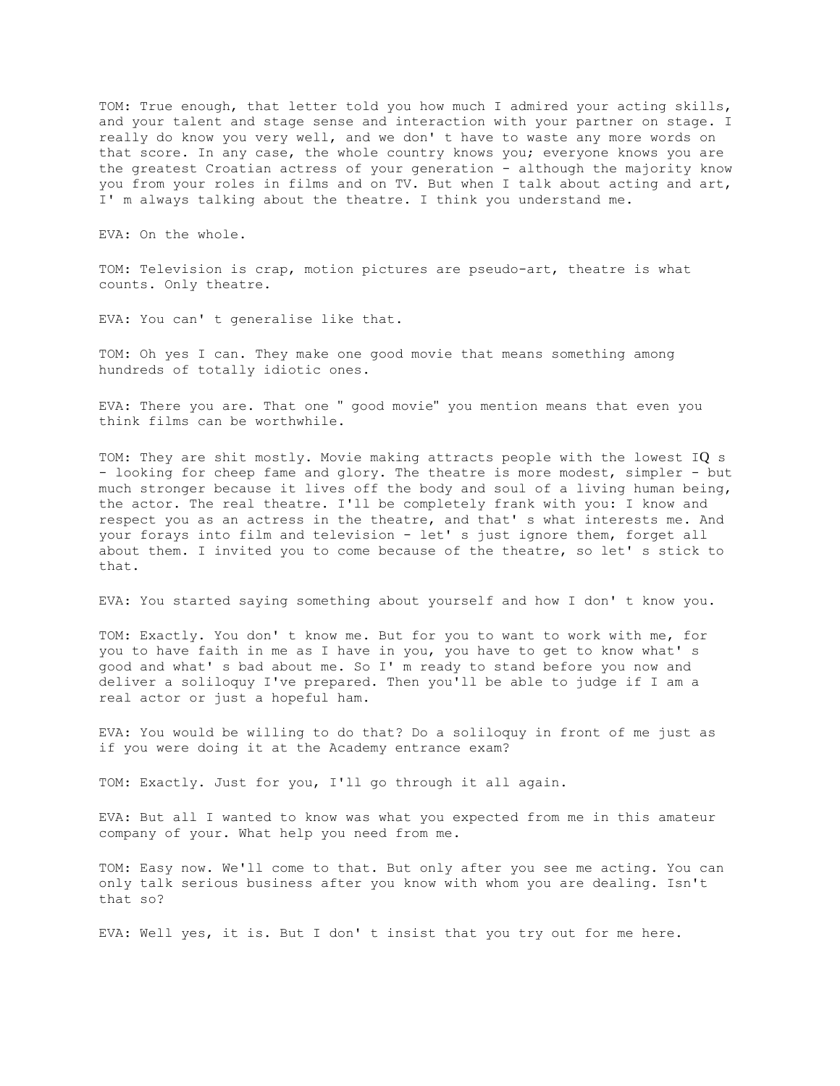TOM: True enough, that letter told you how much I admired your acting skills, and your talent and stage sense and interaction with your partner on stage. I really do know you very well, and we don' t have to waste any more words on that score. In any case, the whole country knows you; everyone knows you are the greatest Croatian actress of your generation - although the majority know you from your roles in films and on TV. But when I talk about acting and art, I' m always talking about the theatre. I think you understand me.

EVA: On the whole.

TOM: Television is crap, motion pictures are pseudo-art, theatre is what counts. Only theatre.

EVA: You can' t generalise like that.

TOM: Oh yes I can. They make one good movie that means something among hundreds of totally idiotic ones.

EVA: There you are. That one " good movie" you mention means that even you think films can be worthwhile.

TOM: They are shit mostly. Movie making attracts people with the lowest IQ s - looking for cheep fame and glory. The theatre is more modest, simpler - but much stronger because it lives off the body and soul of a living human being, the actor. The real theatre. I'll be completely frank with you: I know and respect you as an actress in the theatre, and that' s what interests me. And your forays into film and television - let' s just ignore them, forget all about them. I invited you to come because of the theatre, so let' s stick to that.

EVA: You started saying something about yourself and how I don' t know you.

TOM: Exactly. You don' t know me. But for you to want to work with me, for you to have faith in me as I have in you, you have to get to know what' s good and what' s bad about me. So I' m ready to stand before you now and deliver a soliloquy I've prepared. Then you'll be able to judge if I am a real actor or just a hopeful ham.

EVA: You would be willing to do that? Do a soliloquy in front of me just as if you were doing it at the Academy entrance exam?

TOM: Exactly. Just for you, I'll go through it all again.

EVA: But all I wanted to know was what you expected from me in this amateur company of your. What help you need from me.

TOM: Easy now. We'll come to that. But only after you see me acting. You can only talk serious business after you know with whom you are dealing. Isn't that so?

EVA: Well yes, it is. But I don' t insist that you try out for me here.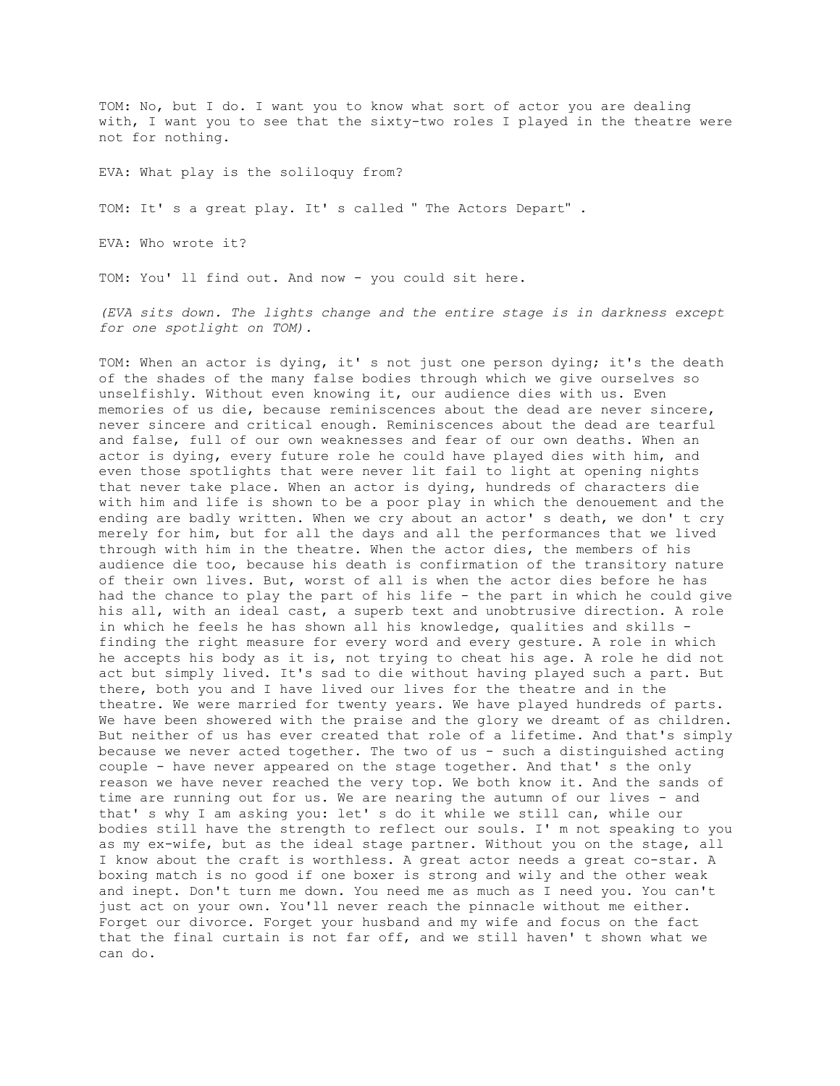TOM: No, but I do. I want you to know what sort of actor you are dealing with, I want you to see that the sixty-two roles I played in the theatre were not for nothing.

EVA: What play is the soliloquy from?

TOM: It' s a great play. It' s called " The Actors Depart" .

EVA: Who wrote it?

TOM: You' ll find out. And now - you could sit here.

*(EVA sits down. The lights change and the entire stage is in darkness except for one spotlight on TOM).*

TOM: When an actor is dying, it' s not just one person dying; it's the death of the shades of the many false bodies through which we give ourselves so unselfishly. Without even knowing it, our audience dies with us. Even memories of us die, because reminiscences about the dead are never sincere, never sincere and critical enough. Reminiscences about the dead are tearful and false, full of our own weaknesses and fear of our own deaths. When an actor is dying, every future role he could have played dies with him, and even those spotlights that were never lit fail to light at opening nights that never take place. When an actor is dying, hundreds of characters die with him and life is shown to be a poor play in which the denouement and the ending are badly written. When we cry about an actor' s death, we don' t cry merely for him, but for all the days and all the performances that we lived through with him in the theatre. When the actor dies, the members of his audience die too, because his death is confirmation of the transitory nature of their own lives. But, worst of all is when the actor dies before he has had the chance to play the part of his life - the part in which he could give his all, with an ideal cast, a superb text and unobtrusive direction. A role in which he feels he has shown all his knowledge, qualities and skills finding the right measure for every word and every gesture. A role in which he accepts his body as it is, not trying to cheat his age. A role he did not act but simply lived. It's sad to die without having played such a part. But there, both you and I have lived our lives for the theatre and in the theatre. We were married for twenty years. We have played hundreds of parts. We have been showered with the praise and the glory we dreamt of as children. But neither of us has ever created that role of a lifetime. And that's simply because we never acted together. The two of us - such a distinguished acting couple - have never appeared on the stage together. And that' s the only reason we have never reached the very top. We both know it. And the sands of time are running out for us. We are nearing the autumn of our lives - and that' s why I am asking you: let' s do it while we still can, while our bodies still have the strength to reflect our souls. I' m not speaking to you as my ex-wife, but as the ideal stage partner. Without you on the stage, all I know about the craft is worthless. A great actor needs a great co-star. A boxing match is no good if one boxer is strong and wily and the other weak and inept. Don't turn me down. You need me as much as I need you. You can't just act on your own. You'll never reach the pinnacle without me either. Forget our divorce. Forget your husband and my wife and focus on the fact that the final curtain is not far off, and we still haven' t shown what we can do.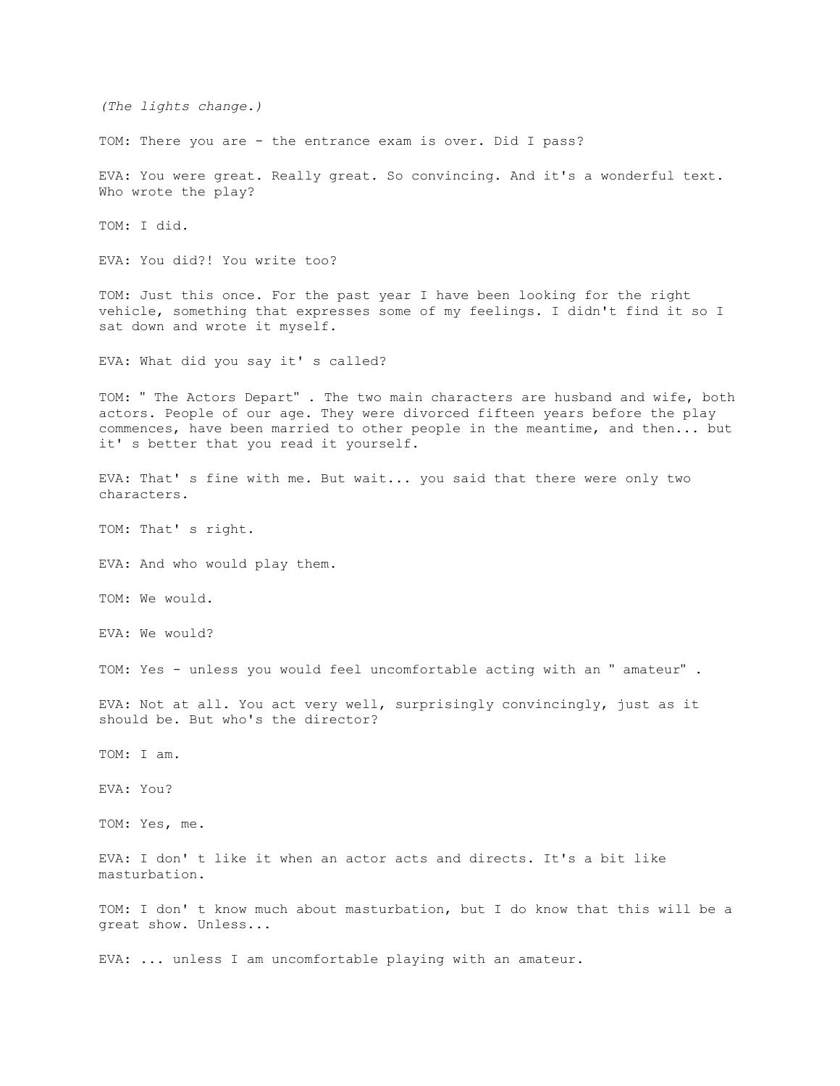*(The lights change.)* TOM: There you are - the entrance exam is over. Did I pass? EVA: You were great. Really great. So convincing. And it's a wonderful text. Who wrote the play? TOM: I did. EVA: You did?! You write too? TOM: Just this once. For the past year I have been looking for the right vehicle, something that expresses some of my feelings. I didn't find it so I sat down and wrote it myself. EVA: What did you say it's called? TOM: " The Actors Depart" . The two main characters are husband and wife, both actors. People of our age. They were divorced fifteen years before the play commences, have been married to other people in the meantime, and then... but it' s better that you read it yourself. EVA: That' s fine with me. But wait... you said that there were only two characters. TOM: That' s right. EVA: And who would play them. TOM: We would. EVA: We would? TOM: Yes - unless you would feel uncomfortable acting with an " amateur" . EVA: Not at all. You act very well, surprisingly convincingly, just as it should be. But who's the director? TOM: I am. EVA: You? TOM: Yes, me. EVA: I don' t like it when an actor acts and directs. It's a bit like masturbation. TOM: I don' t know much about masturbation, but I do know that this will be a great show. Unless... EVA: ... unless I am uncomfortable playing with an amateur.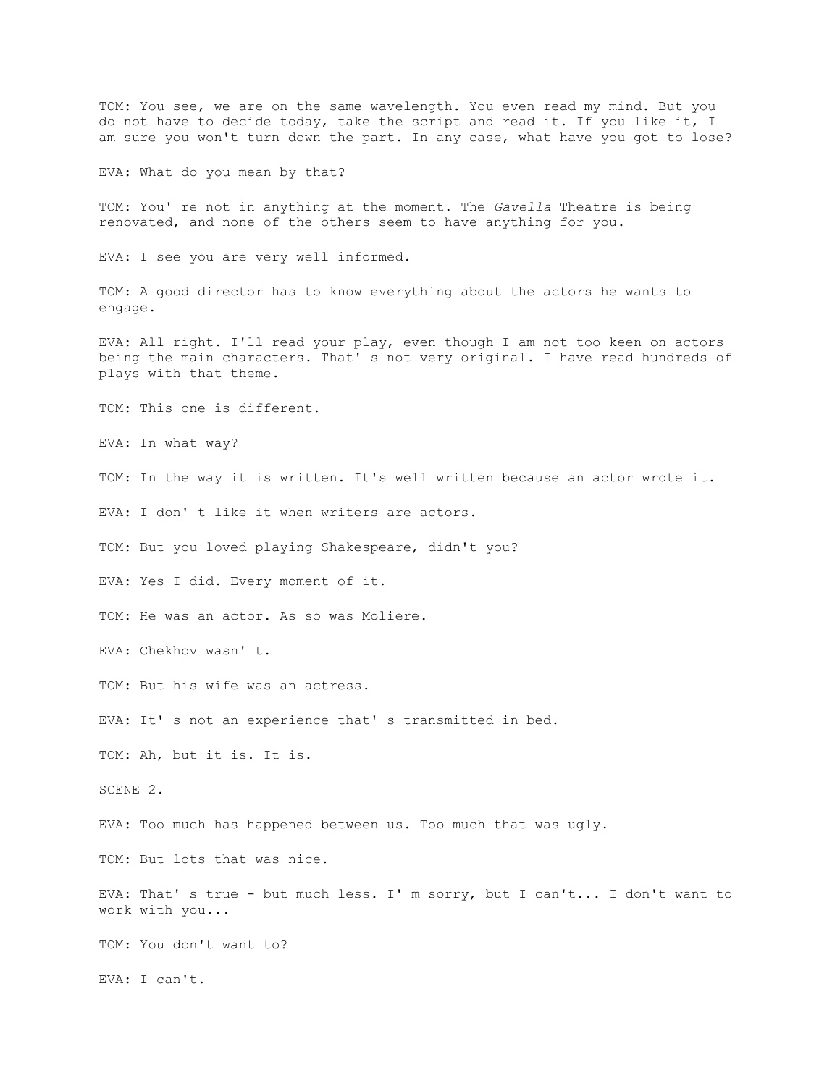TOM: You see, we are on the same wavelength. You even read my mind. But you do not have to decide today, take the script and read it. If you like it, I am sure you won't turn down the part. In any case, what have you got to lose?

EVA: What do you mean by that?

TOM: You' re not in anything at the moment. The *Gavella* Theatre is being renovated, and none of the others seem to have anything for you.

EVA: I see you are very well informed.

TOM: A good director has to know everything about the actors he wants to engage.

EVA: All right. I'll read your play, even though I am not too keen on actors being the main characters. That' s not very original. I have read hundreds of plays with that theme.

TOM: This one is different.

EVA: In what way?

TOM: In the way it is written. It's well written because an actor wrote it.

EVA: I don' t like it when writers are actors.

TOM: But you loved playing Shakespeare, didn't you?

EVA: Yes I did. Every moment of it.

TOM: He was an actor. As so was Moliere.

EVA: Chekhov wasn' t.

TOM: But his wife was an actress.

EVA: It' s not an experience that' s transmitted in bed.

TOM: Ah, but it is. It is.

SCENE 2.

EVA: Too much has happened between us. Too much that was ugly.

TOM: But lots that was nice.

EVA: That' s true - but much less. I' m sorry, but I can't... I don't want to work with you...

TOM: You don't want to?

EVA: I can't.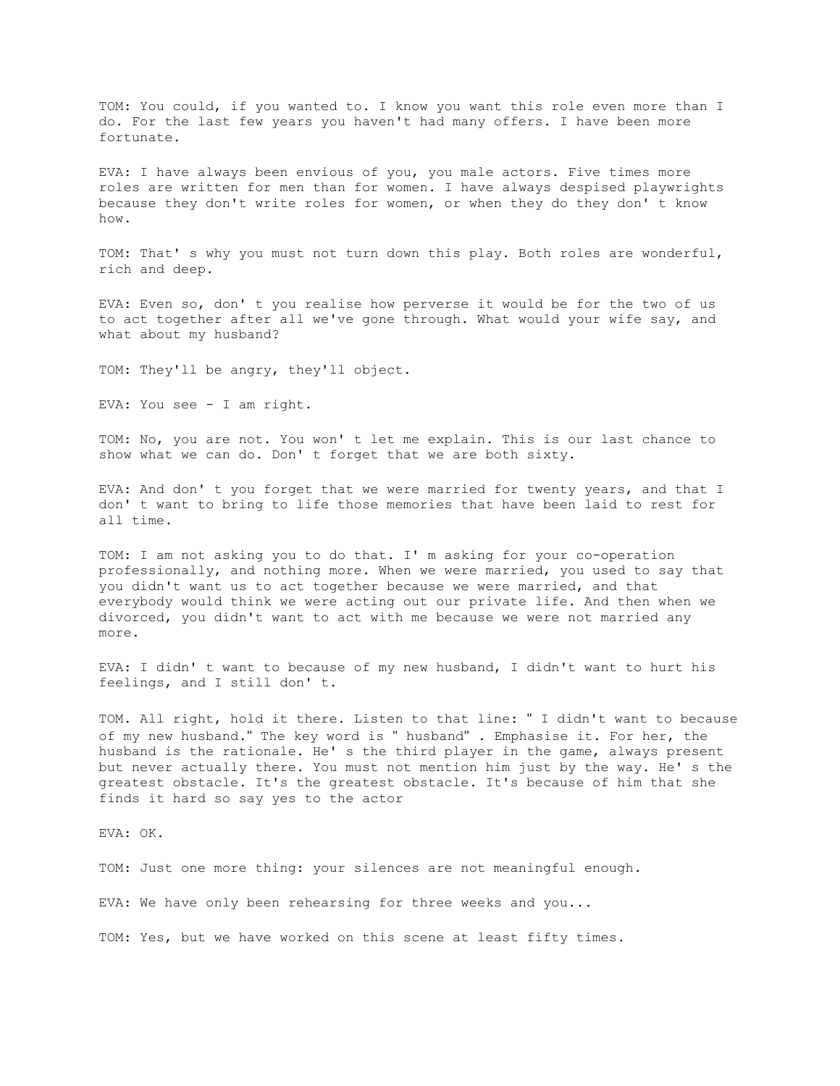TOM: You could, if you wanted to. I know you want this role even more than I do. For the last few years you haven't had many offers. I have been more fortunate.

EVA: I have always been envious of you, you male actors. Five times more roles are written for men than for women. I have always despised playwrights because they don't write roles for women, or when they do they don' t know how.

TOM: That' s why you must not turn down this play. Both roles are wonderful, rich and deep.

EVA: Even so, don' t you realise how perverse it would be for the two of us to act together after all we've gone through. What would your wife say, and what about my husband?

TOM: They'll be angry, they'll object.

EVA: You see - I am right.

TOM: No, you are not. You won' t let me explain. This is our last chance to show what we can do. Don' t forget that we are both sixty.

EVA: And don' t you forget that we were married for twenty years, and that I don' t want to bring to life those memories that have been laid to rest for all time.

TOM: I am not asking you to do that. I' m asking for your co-operation professionally, and nothing more. When we were married, you used to say that you didn't want us to act together because we were married, and that everybody would think we were acting out our private life. And then when we divorced, you didn't want to act with me because we were not married any more.

EVA: I didn' t want to because of my new husband, I didn't want to hurt his feelings, and I still don' t.

TOM. All right, hold it there. Listen to that line: " I didn't want to because of my new husband." The key word is " husband" . Emphasise it. For her, the husband is the rationale. He' s the third player in the game, always present but never actually there. You must not mention him just by the way. He' s the greatest obstacle. It's the greatest obstacle. It's because of him that she finds it hard so say yes to the actor

EVA: OK.

TOM: Just one more thing: your silences are not meaningful enough.

EVA: We have only been rehearsing for three weeks and you...

TOM: Yes, but we have worked on this scene at least fifty times.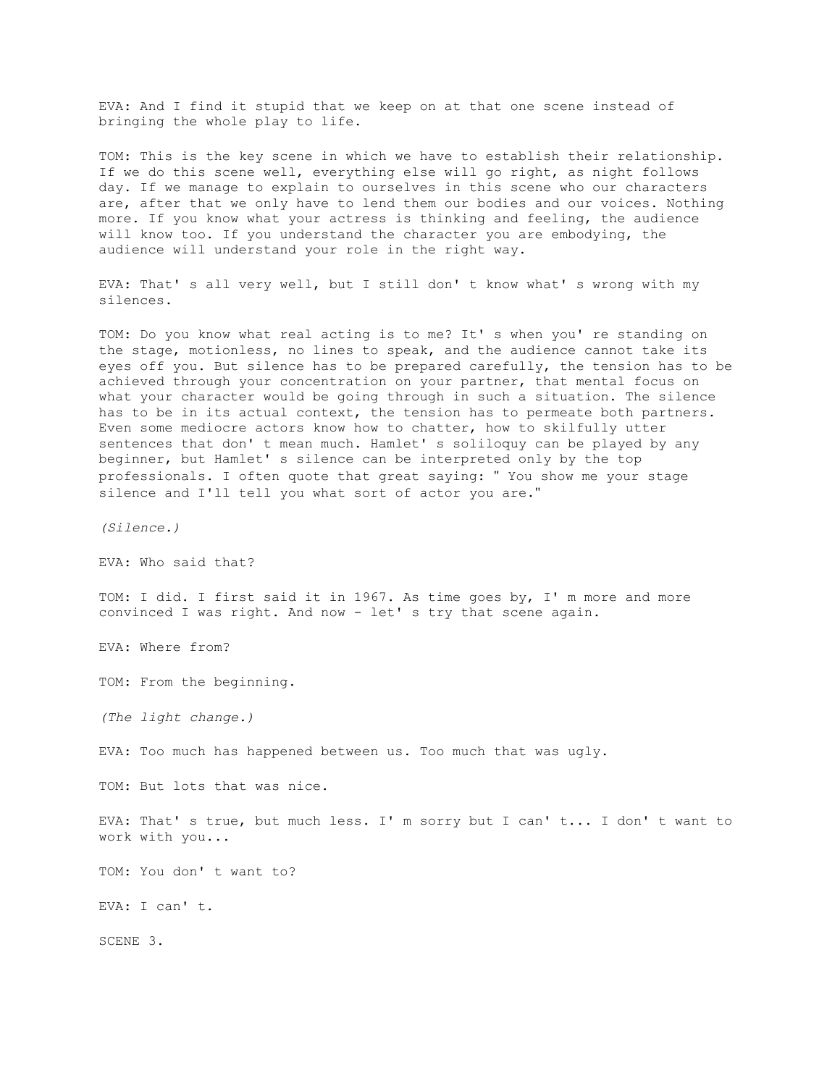EVA: And I find it stupid that we keep on at that one scene instead of bringing the whole play to life.

TOM: This is the key scene in which we have to establish their relationship. If we do this scene well, everything else will go right, as night follows day. If we manage to explain to ourselves in this scene who our characters are, after that we only have to lend them our bodies and our voices. Nothing more. If you know what your actress is thinking and feeling, the audience will know too. If you understand the character you are embodying, the audience will understand your role in the right way.

EVA: That' s all very well, but I still don' t know what' s wrong with my silences.

TOM: Do you know what real acting is to me? It' s when you' re standing on the stage, motionless, no lines to speak, and the audience cannot take its eyes off you. But silence has to be prepared carefully, the tension has to be achieved through your concentration on your partner, that mental focus on what your character would be going through in such a situation. The silence has to be in its actual context, the tension has to permeate both partners. Even some mediocre actors know how to chatter, how to skilfully utter sentences that don' t mean much. Hamlet' s soliloquy can be played by any beginner, but Hamlet' s silence can be interpreted only by the top professionals. I often quote that great saying: " You show me your stage silence and I'll tell you what sort of actor you are."

*(Silence.)*

EVA: Who said that?

TOM: I did. I first said it in 1967. As time goes by, I' m more and more convinced I was right. And now - let' s try that scene again.

EVA: Where from?

TOM: From the beginning.

*(The light change.)*

EVA: Too much has happened between us. Too much that was ugly.

TOM: But lots that was nice.

EVA: That's true, but much less. I'm sorry but I can't... I don't want to work with you...

TOM: You don' t want to?

EVA: I can' t.

SCENE 3.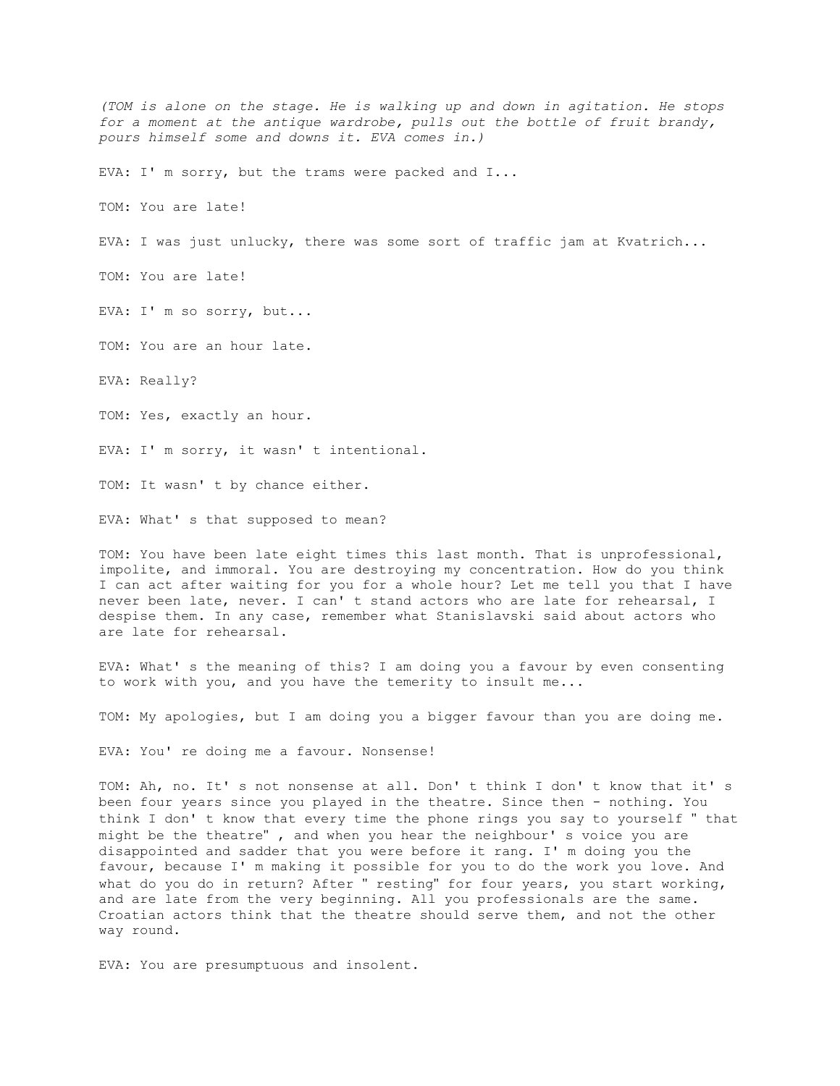*(TOM is alone on the stage. He is walking up and down in agitation. He stops for a moment at the antique wardrobe, pulls out the bottle of fruit brandy, pours himself some and downs it. EVA comes in.)* EVA: I' m sorry, but the trams were packed and I... TOM: You are late! EVA: I was just unlucky, there was some sort of traffic jam at Kvatrich... TOM: You are late! EVA: I' m so sorry, but... TOM: You are an hour late. EVA: Really? TOM: Yes, exactly an hour. EVA: I' m sorry, it wasn' t intentional. TOM: It wasn' t by chance either. EVA: What' s that supposed to mean? TOM: You have been late eight times this last month. That is unprofessional, impolite, and immoral. You are destroying my concentration. How do you think I can act after waiting for you for a whole hour? Let me tell you that I have never been late, never. I can' t stand actors who are late for rehearsal, I

EVA: What' s the meaning of this? I am doing you a favour by even consenting to work with you, and you have the temerity to insult me...

despise them. In any case, remember what Stanislavski said about actors who

TOM: My apologies, but I am doing you a bigger favour than you are doing me.

EVA: You' re doing me a favour. Nonsense!

are late for rehearsal.

TOM: Ah, no. It' s not nonsense at all. Don' t think I don' t know that it' s been four years since you played in the theatre. Since then - nothing. You think I don' t know that every time the phone rings you say to yourself " that might be the theatre" , and when you hear the neighbour' s voice you are disappointed and sadder that you were before it rang. I' m doing you the favour, because I' m making it possible for you to do the work you love. And what do you do in return? After " resting" for four years, you start working, and are late from the very beginning. All you professionals are the same. Croatian actors think that the theatre should serve them, and not the other way round.

EVA: You are presumptuous and insolent.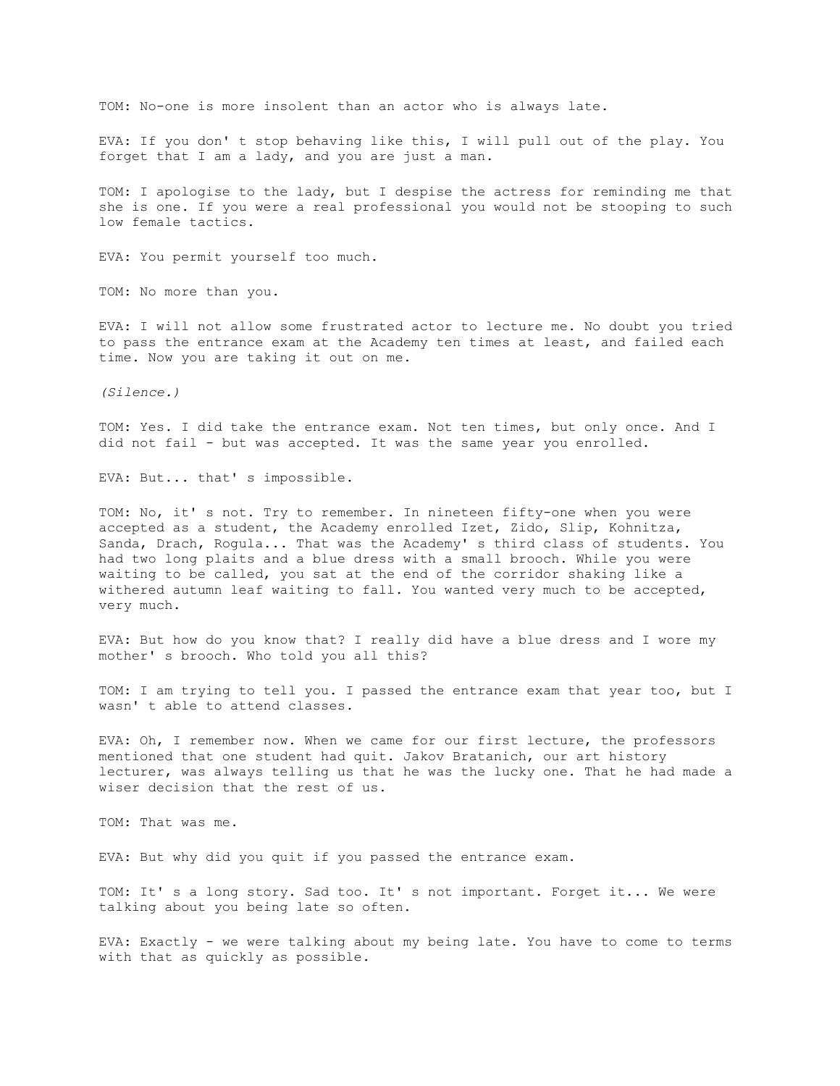TOM: No-one is more insolent than an actor who is always late.

EVA: If you don' t stop behaving like this, I will pull out of the play. You forget that I am a lady, and you are just a man.

TOM: I apologise to the lady, but I despise the actress for reminding me that she is one. If you were a real professional you would not be stooping to such low female tactics.

EVA: You permit yourself too much.

TOM: No more than you.

EVA: I will not allow some frustrated actor to lecture me. No doubt you tried to pass the entrance exam at the Academy ten times at least, and failed each time. Now you are taking it out on me.

*(Silence.)*

TOM: Yes. I did take the entrance exam. Not ten times, but only once. And I did not fail - but was accepted. It was the same year you enrolled.

EVA: But... that' s impossible.

TOM: No, it' s not. Try to remember. In nineteen fifty-one when you were accepted as a student, the Academy enrolled Izet, Zido, Slip, Kohnitza, Sanda, Drach, Rogula... That was the Academy' s third class of students. You had two long plaits and a blue dress with a small brooch. While you were waiting to be called, you sat at the end of the corridor shaking like a withered autumn leaf waiting to fall. You wanted very much to be accepted, very much.

EVA: But how do you know that? I really did have a blue dress and I wore my mother' s brooch. Who told you all this?

TOM: I am trying to tell you. I passed the entrance exam that year too, but I wasn' t able to attend classes.

EVA: Oh, I remember now. When we came for our first lecture, the professors mentioned that one student had quit. Jakov Bratanich, our art history lecturer, was always telling us that he was the lucky one. That he had made a wiser decision that the rest of us.

TOM: That was me.

EVA: But why did you quit if you passed the entrance exam.

TOM: It' s a long story. Sad too. It' s not important. Forget it... We were talking about you being late so often.

EVA: Exactly - we were talking about my being late. You have to come to terms with that as quickly as possible.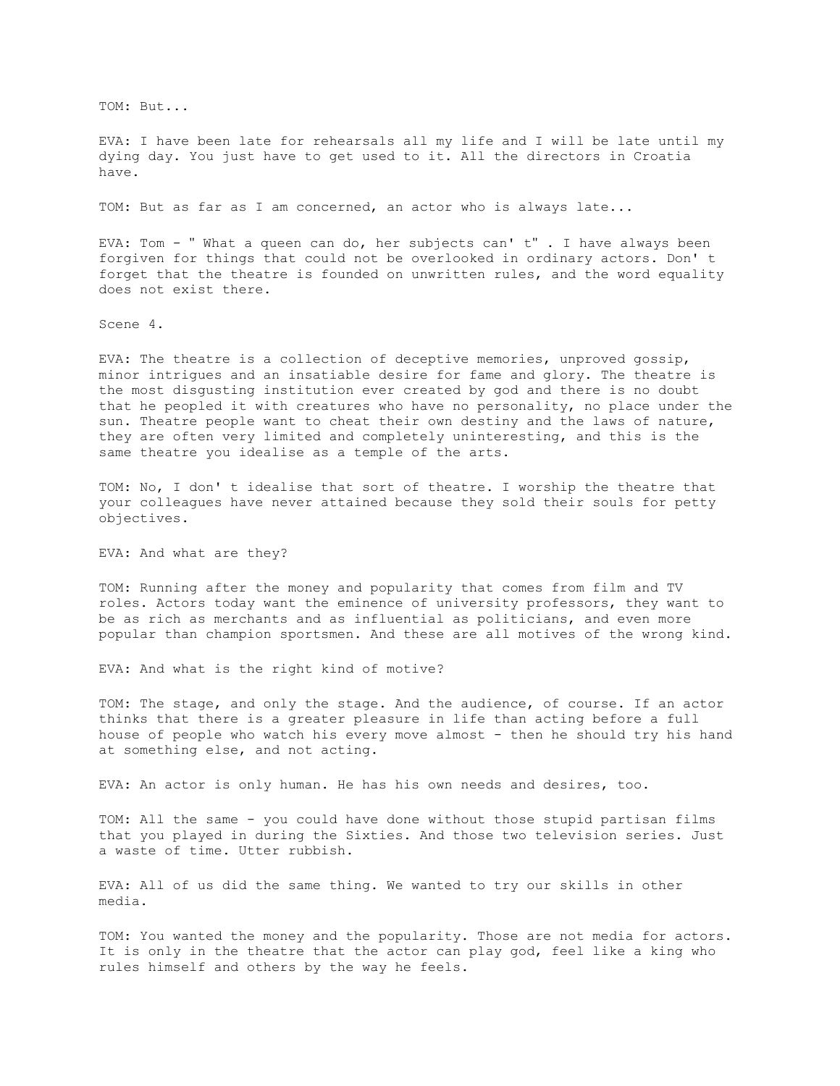TOM: But...

EVA: I have been late for rehearsals all my life and I will be late until my dying day. You just have to get used to it. All the directors in Croatia have.

TOM: But as far as I am concerned, an actor who is always late...

EVA: Tom - " What a queen can do, her subjects can' t" . I have always been forgiven for things that could not be overlooked in ordinary actors. Don' t forget that the theatre is founded on unwritten rules, and the word equality does not exist there.

Scene 4.

EVA: The theatre is a collection of deceptive memories, unproved gossip, minor intrigues and an insatiable desire for fame and glory. The theatre is the most disgusting institution ever created by god and there is no doubt that he peopled it with creatures who have no personality, no place under the sun. Theatre people want to cheat their own destiny and the laws of nature, they are often very limited and completely uninteresting, and this is the same theatre you idealise as a temple of the arts.

TOM: No, I don' t idealise that sort of theatre. I worship the theatre that your colleagues have never attained because they sold their souls for petty objectives.

EVA: And what are they?

TOM: Running after the money and popularity that comes from film and TV roles. Actors today want the eminence of university professors, they want to be as rich as merchants and as influential as politicians, and even more popular than champion sportsmen. And these are all motives of the wrong kind.

EVA: And what is the right kind of motive?

TOM: The stage, and only the stage. And the audience, of course. If an actor thinks that there is a greater pleasure in life than acting before a full house of people who watch his every move almost - then he should try his hand at something else, and not acting.

EVA: An actor is only human. He has his own needs and desires, too.

TOM: All the same - you could have done without those stupid partisan films that you played in during the Sixties. And those two television series. Just a waste of time. Utter rubbish.

EVA: All of us did the same thing. We wanted to try our skills in other media.

TOM: You wanted the money and the popularity. Those are not media for actors. It is only in the theatre that the actor can play god, feel like a king who rules himself and others by the way he feels.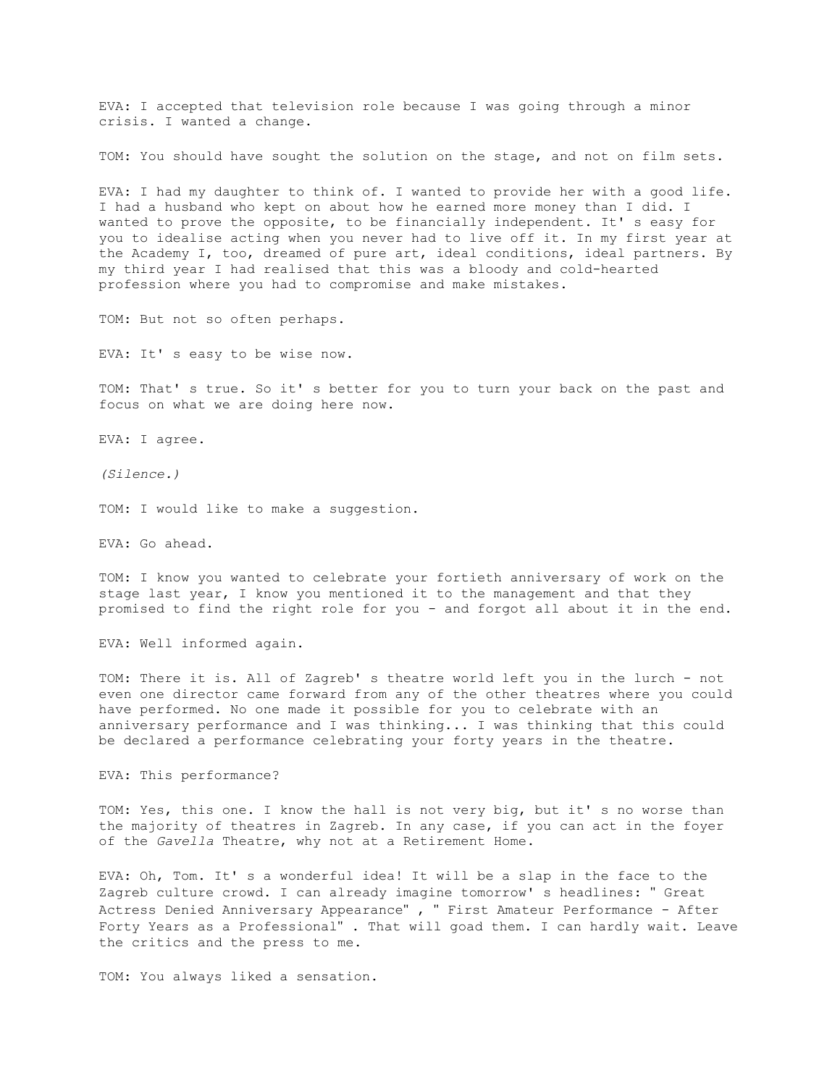EVA: I accepted that television role because I was going through a minor crisis. I wanted a change.

TOM: You should have sought the solution on the stage, and not on film sets.

EVA: I had my daughter to think of. I wanted to provide her with a good life. I had a husband who kept on about how he earned more money than I did. I wanted to prove the opposite, to be financially independent. It' s easy for you to idealise acting when you never had to live off it. In my first year at the Academy I, too, dreamed of pure art, ideal conditions, ideal partners. By my third year I had realised that this was a bloody and cold-hearted profession where you had to compromise and make mistakes.

TOM: But not so often perhaps.

EVA: It' s easy to be wise now.

TOM: That' s true. So it' s better for you to turn your back on the past and focus on what we are doing here now.

EVA: I agree.

*(Silence.)*

TOM: I would like to make a suggestion.

EVA: Go ahead.

TOM: I know you wanted to celebrate your fortieth anniversary of work on the stage last year, I know you mentioned it to the management and that they promised to find the right role for you - and forgot all about it in the end.

EVA: Well informed again.

TOM: There it is. All of Zagreb' s theatre world left you in the lurch - not even one director came forward from any of the other theatres where you could have performed. No one made it possible for you to celebrate with an anniversary performance and I was thinking... I was thinking that this could be declared a performance celebrating your forty years in the theatre.

EVA: This performance?

TOM: Yes, this one. I know the hall is not very big, but it' s no worse than the majority of theatres in Zagreb. In any case, if you can act in the foyer of the *Gavella* Theatre, why not at a Retirement Home.

EVA: Oh, Tom. It' s a wonderful idea! It will be a slap in the face to the Zagreb culture crowd. I can already imagine tomorrow' s headlines: " Great Actress Denied Anniversary Appearance" , " First Amateur Performance - After Forty Years as a Professional" . That will goad them. I can hardly wait. Leave the critics and the press to me.

TOM: You always liked a sensation.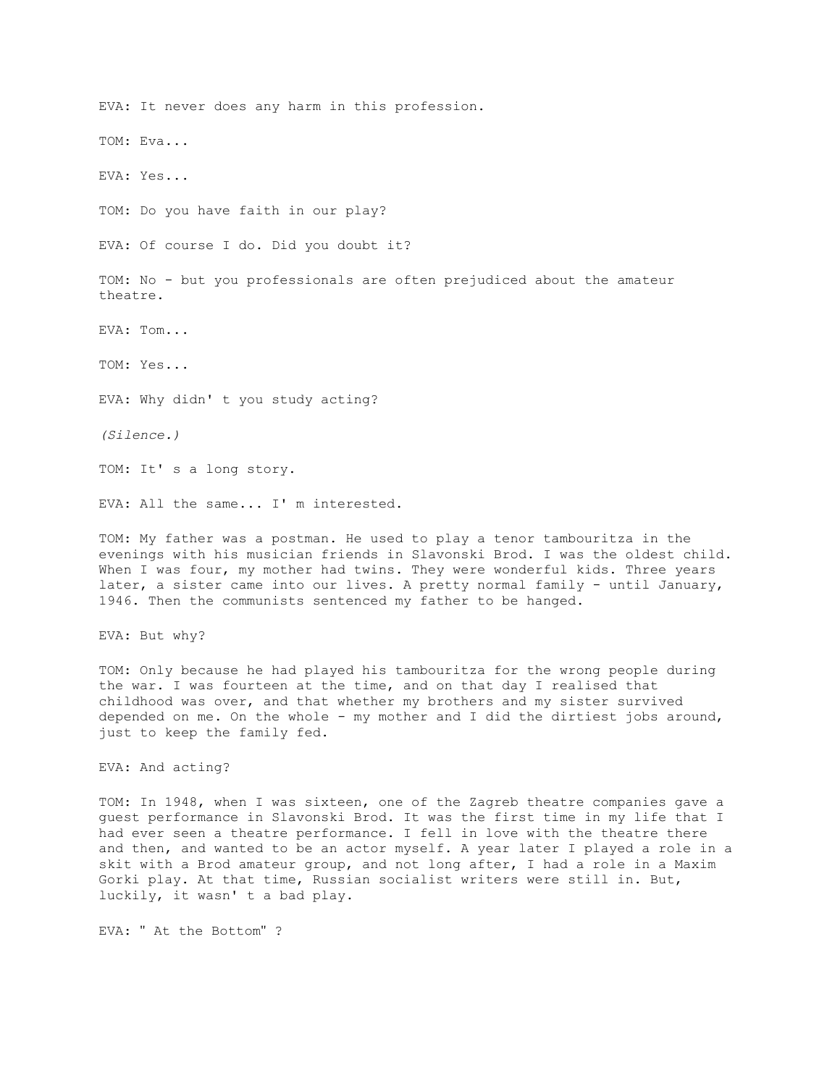EVA: It never does any harm in this profession. TOM: Eva... EVA: Yes... TOM: Do you have faith in our play? EVA: Of course I do. Did you doubt it? TOM: No - but you professionals are often prejudiced about the amateur theatre. EVA: Tom... TOM: Yes... EVA: Why didn' t you study acting? *(Silence.)* TOM: It' s a long story. EVA: All the same... I' m interested.

TOM: My father was a postman. He used to play a tenor tambouritza in the evenings with his musician friends in Slavonski Brod. I was the oldest child. When I was four, my mother had twins. They were wonderful kids. Three years later, a sister came into our lives. A pretty normal family - until January, 1946. Then the communists sentenced my father to be hanged.

EVA: But why?

TOM: Only because he had played his tambouritza for the wrong people during the war. I was fourteen at the time, and on that day I realised that childhood was over, and that whether my brothers and my sister survived depended on me. On the whole - my mother and I did the dirtiest jobs around, just to keep the family fed.

EVA: And acting?

TOM: In 1948, when I was sixteen, one of the Zagreb theatre companies gave a guest performance in Slavonski Brod. It was the first time in my life that I had ever seen a theatre performance. I fell in love with the theatre there and then, and wanted to be an actor myself. A year later I played a role in a skit with a Brod amateur group, and not long after, I had a role in a Maxim Gorki play. At that time, Russian socialist writers were still in. But, luckily, it wasn' t a bad play.

EVA: " At the Bottom" ?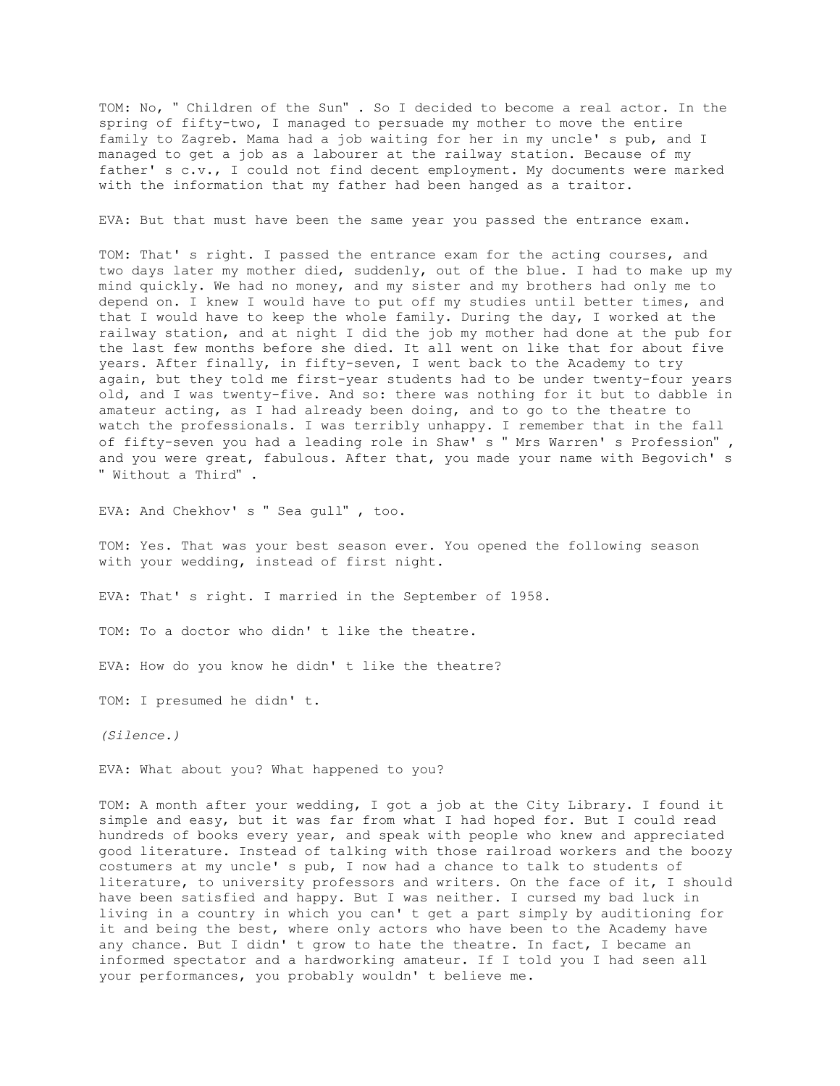TOM: No, " Children of the Sun" . So I decided to become a real actor. In the spring of fifty-two, I managed to persuade my mother to move the entire family to Zagreb. Mama had a job waiting for her in my uncle' s pub, and I managed to get a job as a labourer at the railway station. Because of my father' s c.v., I could not find decent employment. My documents were marked with the information that my father had been hanged as a traitor.

EVA: But that must have been the same year you passed the entrance exam.

TOM: That' s right. I passed the entrance exam for the acting courses, and two days later my mother died, suddenly, out of the blue. I had to make up my mind quickly. We had no money, and my sister and my brothers had only me to depend on. I knew I would have to put off my studies until better times, and that I would have to keep the whole family. During the day, I worked at the railway station, and at night I did the job my mother had done at the pub for the last few months before she died. It all went on like that for about five years. After finally, in fifty-seven, I went back to the Academy to try again, but they told me first-year students had to be under twenty-four years old, and I was twenty-five. And so: there was nothing for it but to dabble in amateur acting, as I had already been doing, and to go to the theatre to watch the professionals. I was terribly unhappy. I remember that in the fall of fifty-seven you had a leading role in Shaw' s " Mrs Warren' s Profession" , and you were great, fabulous. After that, you made your name with Begovich' s " Without a Third" .

EVA: And Chekhov' s " Sea gull" , too.

TOM: Yes. That was your best season ever. You opened the following season with your wedding, instead of first night.

EVA: That' s right. I married in the September of 1958.

TOM: To a doctor who didn' t like the theatre.

EVA: How do you know he didn' t like the theatre?

TOM: I presumed he didn' t.

*(Silence.)*

EVA: What about you? What happened to you?

TOM: A month after your wedding, I got a job at the City Library. I found it simple and easy, but it was far from what I had hoped for. But I could read hundreds of books every year, and speak with people who knew and appreciated good literature. Instead of talking with those railroad workers and the boozy costumers at my uncle' s pub, I now had a chance to talk to students of literature, to university professors and writers. On the face of it, I should have been satisfied and happy. But I was neither. I cursed my bad luck in living in a country in which you can' t get a part simply by auditioning for it and being the best, where only actors who have been to the Academy have any chance. But I didn' t grow to hate the theatre. In fact, I became an informed spectator and a hardworking amateur. If I told you I had seen all your performances, you probably wouldn' t believe me.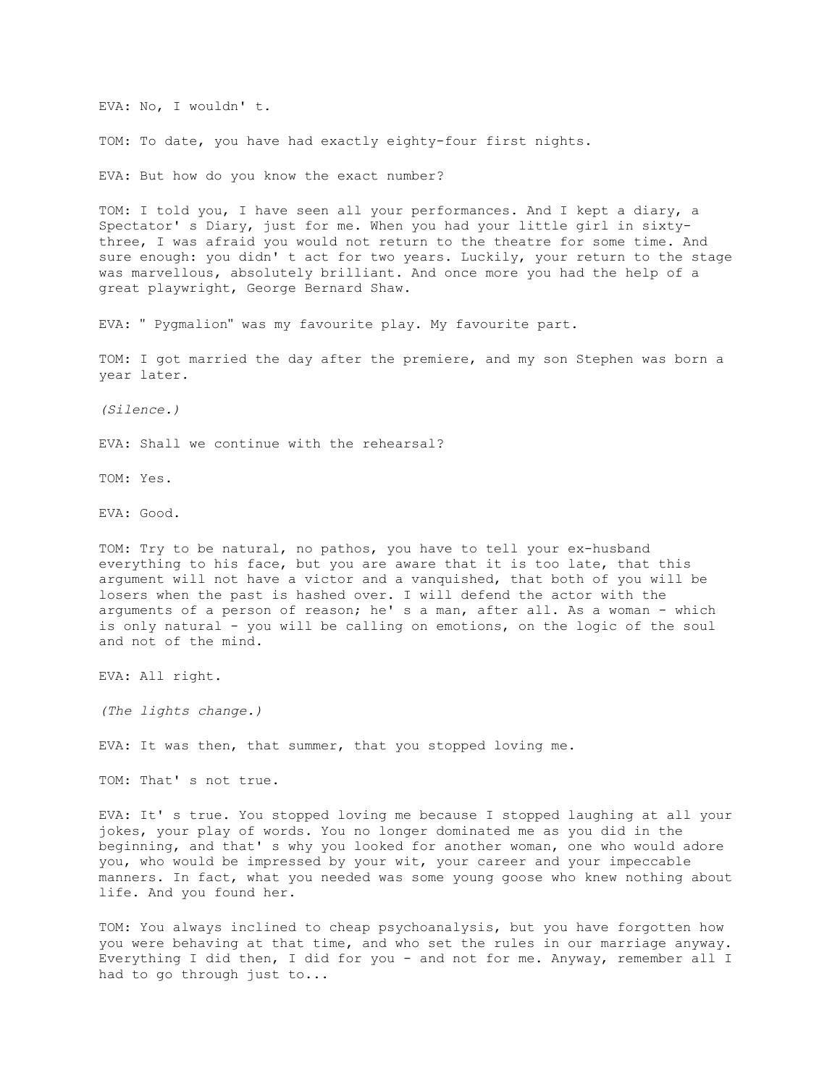EVA: No, I wouldn' t.

TOM: To date, you have had exactly eighty-four first nights.

EVA: But how do you know the exact number?

TOM: I told you, I have seen all your performances. And I kept a diary, a Spectator' s Diary, just for me. When you had your little girl in sixtythree, I was afraid you would not return to the theatre for some time. And sure enough: you didn' t act for two years. Luckily, your return to the stage was marvellous, absolutely brilliant. And once more you had the help of a great playwright, George Bernard Shaw.

EVA: " Pygmalion" was my favourite play. My favourite part.

TOM: I got married the day after the premiere, and my son Stephen was born a year later.

*(Silence.)*

EVA: Shall we continue with the rehearsal?

TOM: Yes.

EVA: Good.

TOM: Try to be natural, no pathos, you have to tell your ex-husband everything to his face, but you are aware that it is too late, that this argument will not have a victor and a vanquished, that both of you will be losers when the past is hashed over. I will defend the actor with the arguments of a person of reason; he' s a man, after all. As a woman - which is only natural - you will be calling on emotions, on the logic of the soul and not of the mind.

EVA: All right.

*(The lights change.)*

EVA: It was then, that summer, that you stopped loving me.

TOM: That' s not true.

EVA: It' s true. You stopped loving me because I stopped laughing at all your jokes, your play of words. You no longer dominated me as you did in the beginning, and that' s why you looked for another woman, one who would adore you, who would be impressed by your wit, your career and your impeccable manners. In fact, what you needed was some young goose who knew nothing about life. And you found her.

TOM: You always inclined to cheap psychoanalysis, but you have forgotten how you were behaving at that time, and who set the rules in our marriage anyway. Everything I did then, I did for you - and not for me. Anyway, remember all I had to go through just to...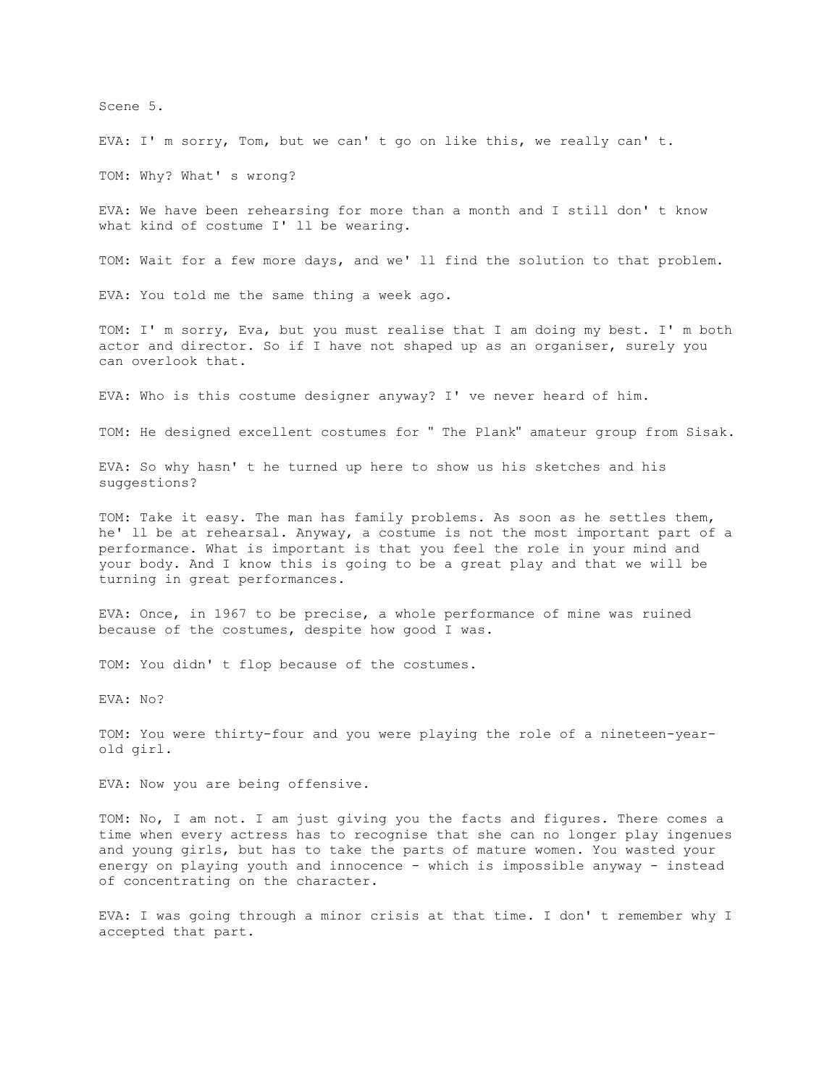Scene 5.

EVA: I' m sorry, Tom, but we can' t go on like this, we really can' t.

TOM: Why? What' s wrong?

EVA: We have been rehearsing for more than a month and I still don' t know what kind of costume I' ll be wearing.

TOM: Wait for a few more days, and we' ll find the solution to that problem.

EVA: You told me the same thing a week ago.

TOM: I' m sorry, Eva, but you must realise that I am doing my best. I' m both actor and director. So if I have not shaped up as an organiser, surely you can overlook that.

EVA: Who is this costume designer anyway? I' ve never heard of him.

TOM: He designed excellent costumes for " The Plank" amateur group from Sisak.

EVA: So why hasn' t he turned up here to show us his sketches and his suggestions?

TOM: Take it easy. The man has family problems. As soon as he settles them, he' ll be at rehearsal. Anyway, a costume is not the most important part of a performance. What is important is that you feel the role in your mind and your body. And I know this is going to be a great play and that we will be turning in great performances.

EVA: Once, in 1967 to be precise, a whole performance of mine was ruined because of the costumes, despite how good I was.

TOM: You didn' t flop because of the costumes.

EVA: No?

TOM: You were thirty-four and you were playing the role of a nineteen-yearold girl.

EVA: Now you are being offensive.

TOM: No, I am not. I am just giving you the facts and figures. There comes a time when every actress has to recognise that she can no longer play ingenues and young girls, but has to take the parts of mature women. You wasted your energy on playing youth and innocence - which is impossible anyway - instead of concentrating on the character.

EVA: I was going through a minor crisis at that time. I don' t remember why I accepted that part.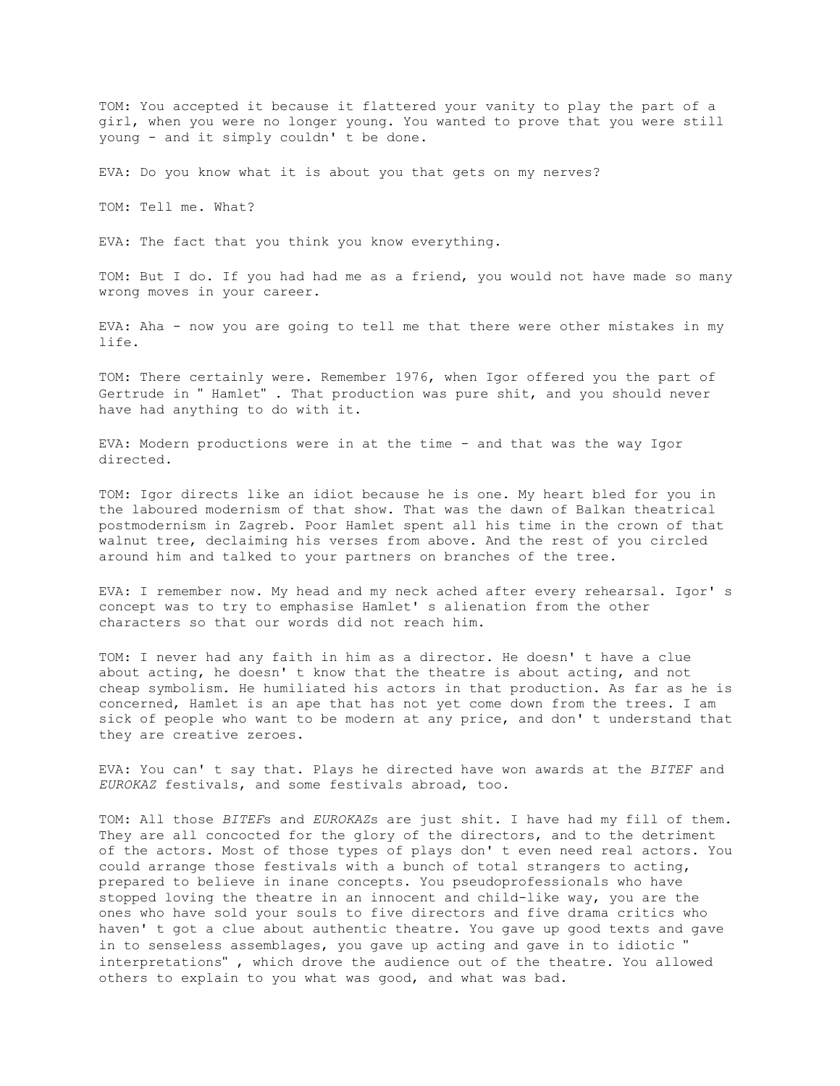TOM: You accepted it because it flattered your vanity to play the part of a girl, when you were no longer young. You wanted to prove that you were still young - and it simply couldn' t be done.

EVA: Do you know what it is about you that gets on my nerves?

TOM: Tell me. What?

EVA: The fact that you think you know everything.

TOM: But I do. If you had had me as a friend, you would not have made so many wrong moves in your career.

EVA: Aha - now you are going to tell me that there were other mistakes in my life.

TOM: There certainly were. Remember 1976, when Igor offered you the part of Gertrude in " Hamlet" . That production was pure shit, and you should never have had anything to do with it.

EVA: Modern productions were in at the time - and that was the way Igor directed.

TOM: Igor directs like an idiot because he is one. My heart bled for you in the laboured modernism of that show. That was the dawn of Balkan theatrical postmodernism in Zagreb. Poor Hamlet spent all his time in the crown of that walnut tree, declaiming his verses from above. And the rest of you circled around him and talked to your partners on branches of the tree.

EVA: I remember now. My head and my neck ached after every rehearsal. Igor' s concept was to try to emphasise Hamlet' s alienation from the other characters so that our words did not reach him.

TOM: I never had any faith in him as a director. He doesn' t have a clue about acting, he doesn' t know that the theatre is about acting, and not cheap symbolism. He humiliated his actors in that production. As far as he is concerned, Hamlet is an ape that has not yet come down from the trees. I am sick of people who want to be modern at any price, and don' t understand that they are creative zeroes.

EVA: You can' t say that. Plays he directed have won awards at the *BITEF* and *EUROKAZ* festivals, and some festivals abroad, too.

TOM: All those *BITEF*s and *EUROKAZ*s are just shit. I have had my fill of them. They are all concocted for the glory of the directors, and to the detriment of the actors. Most of those types of plays don' t even need real actors. You could arrange those festivals with a bunch of total strangers to acting, prepared to believe in inane concepts. You pseudoprofessionals who have stopped loving the theatre in an innocent and child-like way, you are the ones who have sold your souls to five directors and five drama critics who haven' t got a clue about authentic theatre. You gave up good texts and gave in to senseless assemblages, you gave up acting and gave in to idiotic " interpretations" , which drove the audience out of the theatre. You allowed others to explain to you what was good, and what was bad.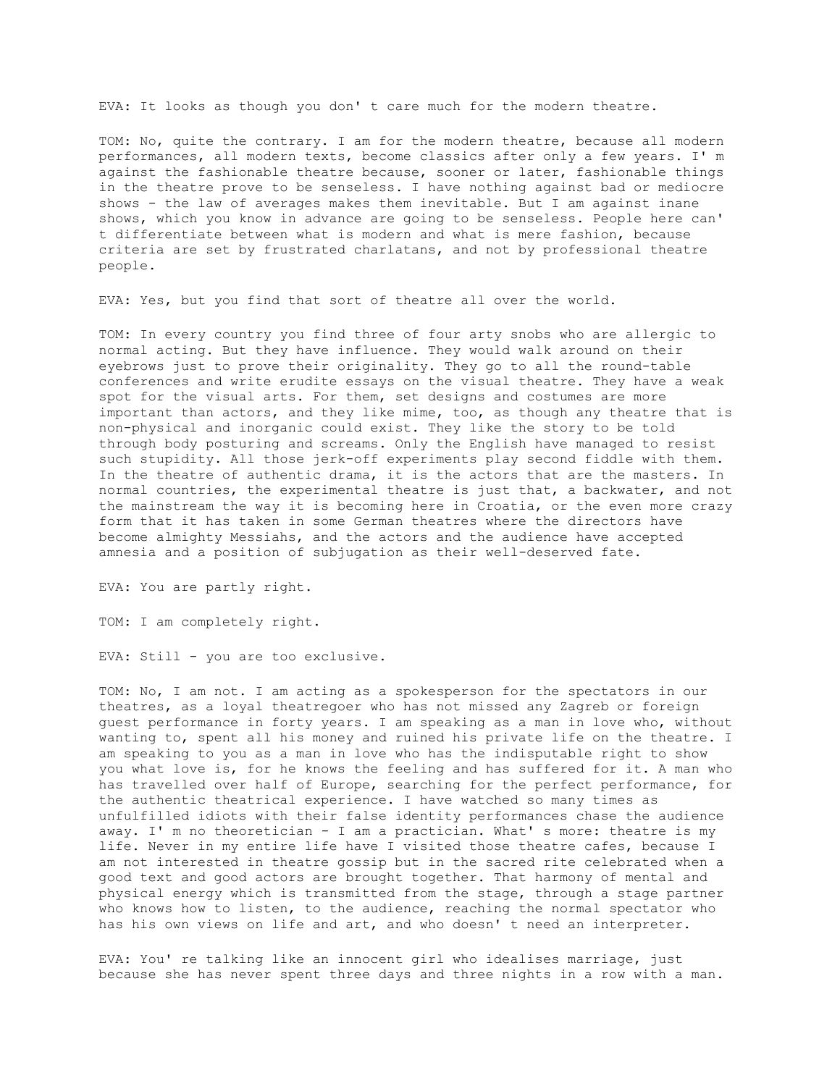EVA: It looks as though you don' t care much for the modern theatre.

TOM: No, quite the contrary. I am for the modern theatre, because all modern performances, all modern texts, become classics after only a few years. I' m against the fashionable theatre because, sooner or later, fashionable things in the theatre prove to be senseless. I have nothing against bad or mediocre shows - the law of averages makes them inevitable. But I am against inane shows, which you know in advance are going to be senseless. People here can' t differentiate between what is modern and what is mere fashion, because criteria are set by frustrated charlatans, and not by professional theatre people.

EVA: Yes, but you find that sort of theatre all over the world.

TOM: In every country you find three of four arty snobs who are allergic to normal acting. But they have influence. They would walk around on their eyebrows just to prove their originality. They go to all the round-table conferences and write erudite essays on the visual theatre. They have a weak spot for the visual arts. For them, set designs and costumes are more important than actors, and they like mime, too, as though any theatre that is non-physical and inorganic could exist. They like the story to be told through body posturing and screams. Only the English have managed to resist such stupidity. All those jerk-off experiments play second fiddle with them. In the theatre of authentic drama, it is the actors that are the masters. In normal countries, the experimental theatre is just that, a backwater, and not the mainstream the way it is becoming here in Croatia, or the even more crazy form that it has taken in some German theatres where the directors have become almighty Messiahs, and the actors and the audience have accepted amnesia and a position of subjugation as their well-deserved fate.

EVA: You are partly right.

TOM: I am completely right.

EVA: Still - you are too exclusive.

TOM: No, I am not. I am acting as a spokesperson for the spectators in our theatres, as a loyal theatregoer who has not missed any Zagreb or foreign guest performance in forty years. I am speaking as a man in love who, without wanting to, spent all his money and ruined his private life on the theatre. I am speaking to you as a man in love who has the indisputable right to show you what love is, for he knows the feeling and has suffered for it. A man who has travelled over half of Europe, searching for the perfect performance, for the authentic theatrical experience. I have watched so many times as unfulfilled idiots with their false identity performances chase the audience away. I' m no theoretician - I am a practician. What' s more: theatre is my life. Never in my entire life have I visited those theatre cafes, because I am not interested in theatre gossip but in the sacred rite celebrated when a good text and good actors are brought together. That harmony of mental and physical energy which is transmitted from the stage, through a stage partner who knows how to listen, to the audience, reaching the normal spectator who has his own views on life and art, and who doesn' t need an interpreter.

EVA: You' re talking like an innocent girl who idealises marriage, just because she has never spent three days and three nights in a row with a man.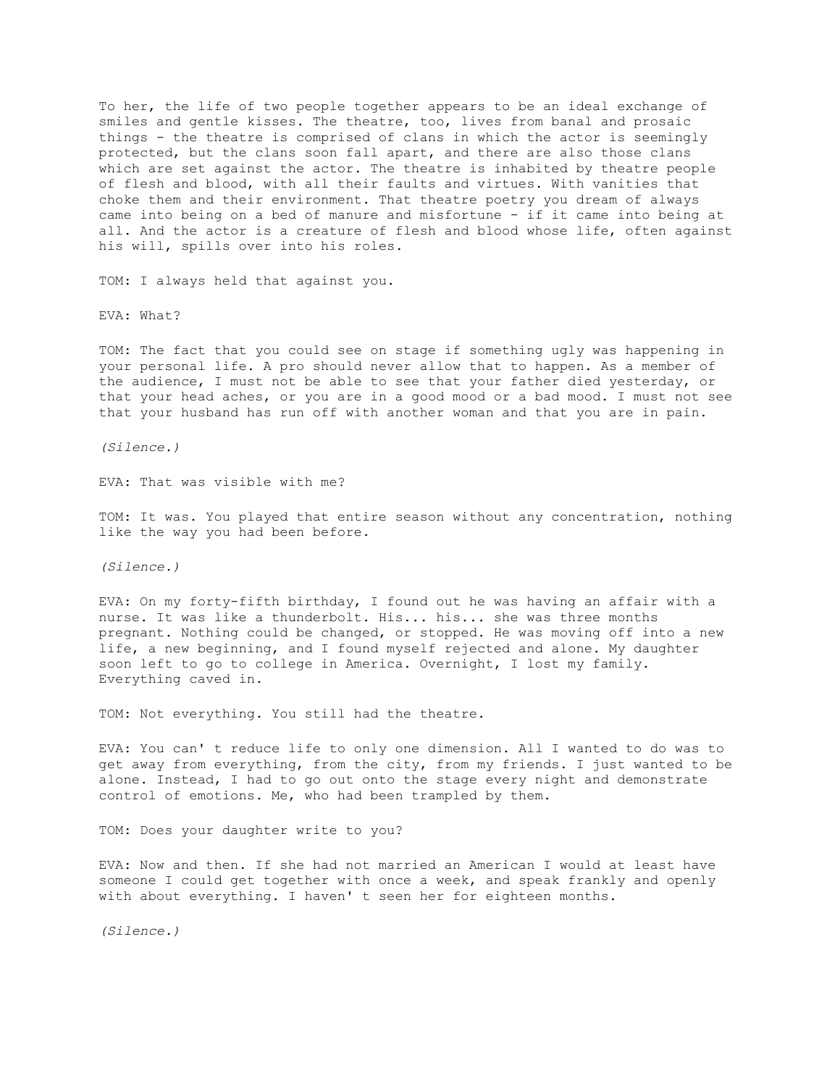To her, the life of two people together appears to be an ideal exchange of smiles and gentle kisses. The theatre, too, lives from banal and prosaic things - the theatre is comprised of clans in which the actor is seemingly protected, but the clans soon fall apart, and there are also those clans which are set against the actor. The theatre is inhabited by theatre people of flesh and blood, with all their faults and virtues. With vanities that choke them and their environment. That theatre poetry you dream of always came into being on a bed of manure and misfortune - if it came into being at all. And the actor is a creature of flesh and blood whose life, often against his will, spills over into his roles.

TOM: I always held that against you.

EVA: What?

TOM: The fact that you could see on stage if something ugly was happening in your personal life. A pro should never allow that to happen. As a member of the audience, I must not be able to see that your father died yesterday, or that your head aches, or you are in a good mood or a bad mood. I must not see that your husband has run off with another woman and that you are in pain.

*(Silence.)*

EVA: That was visible with me?

TOM: It was. You played that entire season without any concentration, nothing like the way you had been before.

*(Silence.)*

EVA: On my forty-fifth birthday, I found out he was having an affair with a nurse. It was like a thunderbolt. His... his... she was three months pregnant. Nothing could be changed, or stopped. He was moving off into a new life, a new beginning, and I found myself rejected and alone. My daughter soon left to go to college in America. Overnight, I lost my family. Everything caved in.

TOM: Not everything. You still had the theatre.

EVA: You can' t reduce life to only one dimension. All I wanted to do was to get away from everything, from the city, from my friends. I just wanted to be alone. Instead, I had to go out onto the stage every night and demonstrate control of emotions. Me, who had been trampled by them.

TOM: Does your daughter write to you?

EVA: Now and then. If she had not married an American I would at least have someone I could get together with once a week, and speak frankly and openly with about everything. I haven' t seen her for eighteen months.

*(Silence.)*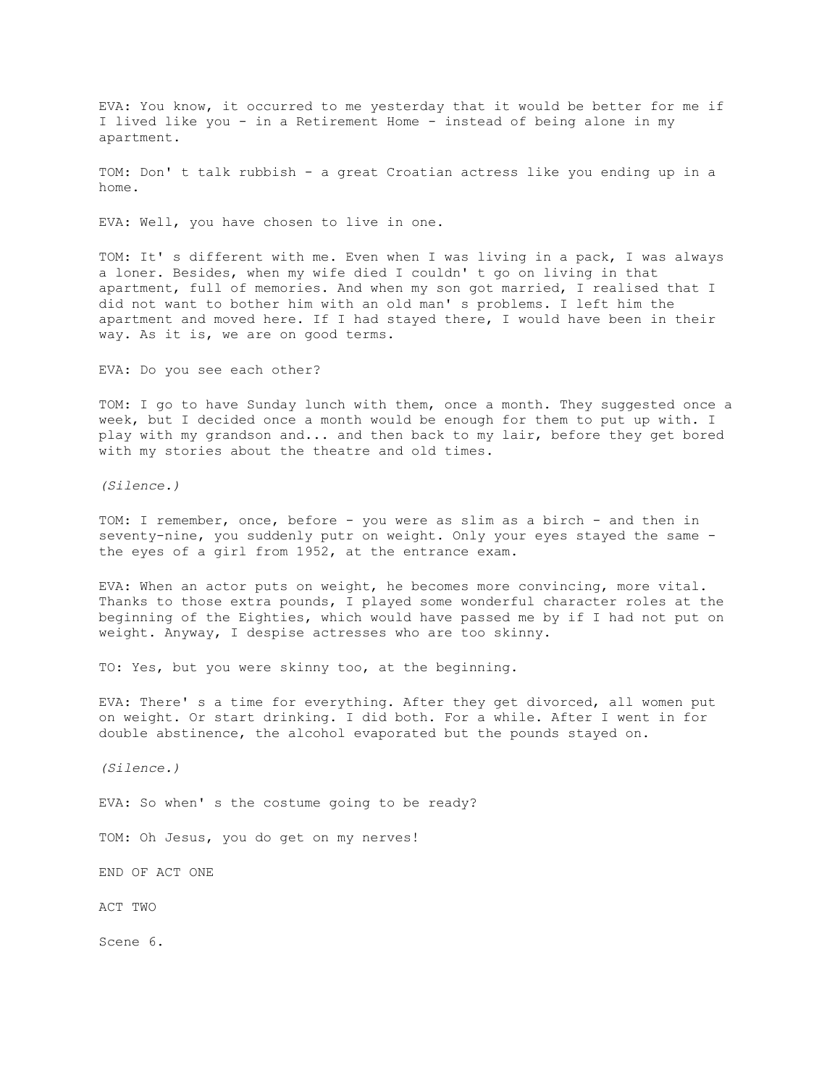EVA: You know, it occurred to me yesterday that it would be better for me if I lived like you - in a Retirement Home - instead of being alone in my apartment.

TOM: Don' t talk rubbish - a great Croatian actress like you ending up in a home.

EVA: Well, you have chosen to live in one.

TOM: It' s different with me. Even when I was living in a pack, I was always a loner. Besides, when my wife died I couldn' t go on living in that apartment, full of memories. And when my son got married, I realised that I did not want to bother him with an old man' s problems. I left him the apartment and moved here. If I had stayed there, I would have been in their way. As it is, we are on good terms.

EVA: Do you see each other?

TOM: I go to have Sunday lunch with them, once a month. They suggested once a week, but I decided once a month would be enough for them to put up with. I play with my grandson and... and then back to my lair, before they get bored with my stories about the theatre and old times.

*(Silence.)*

TOM: I remember, once, before - you were as slim as a birch - and then in seventy-nine, you suddenly putr on weight. Only your eyes stayed the same the eyes of a girl from 1952, at the entrance exam.

EVA: When an actor puts on weight, he becomes more convincing, more vital. Thanks to those extra pounds, I played some wonderful character roles at the beginning of the Eighties, which would have passed me by if I had not put on weight. Anyway, I despise actresses who are too skinny.

TO: Yes, but you were skinny too, at the beginning.

EVA: There' s a time for everything. After they get divorced, all women put on weight. Or start drinking. I did both. For a while. After I went in for double abstinence, the alcohol evaporated but the pounds stayed on.

*(Silence.)*

EVA: So when' s the costume going to be ready?

TOM: Oh Jesus, you do get on my nerves!

END OF ACT ONE

ACT TWO

Scene 6.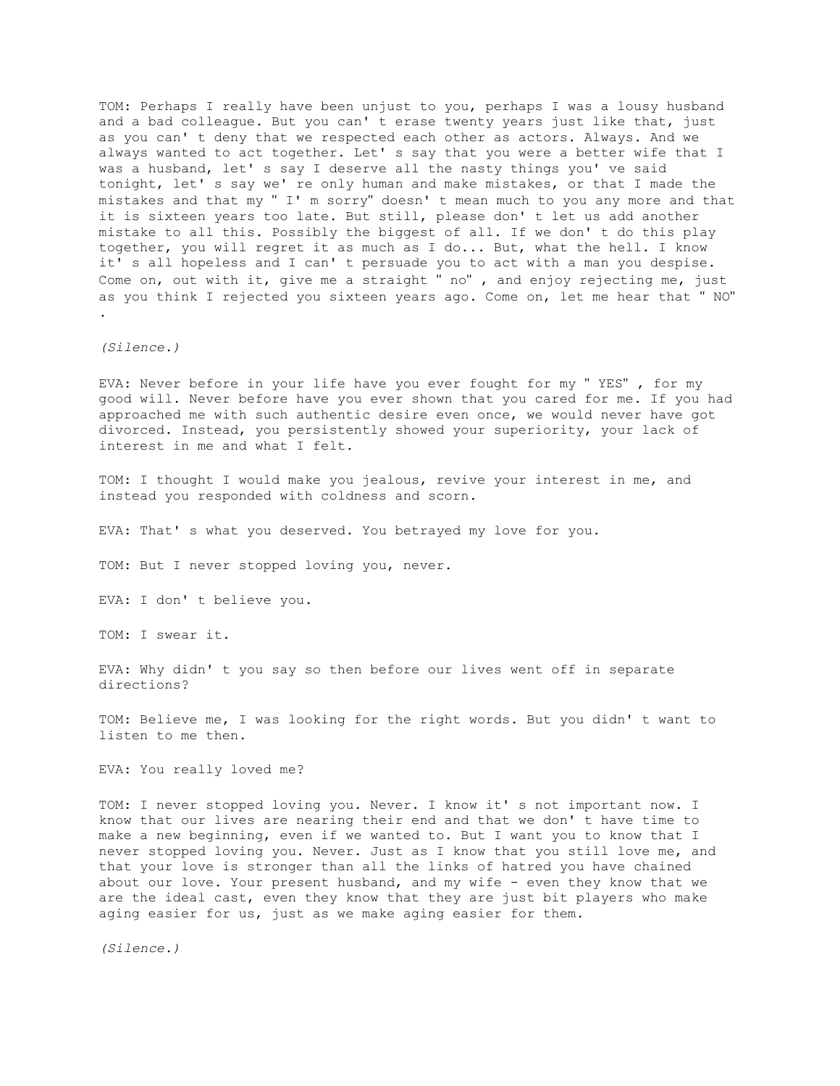TOM: Perhaps I really have been unjust to you, perhaps I was a lousy husband and a bad colleague. But you can' t erase twenty years just like that, just as you can' t deny that we respected each other as actors. Always. And we always wanted to act together. Let' s say that you were a better wife that I was a husband, let' s say I deserve all the nasty things you' ve said tonight, let' s say we' re only human and make mistakes, or that I made the mistakes and that my " I' m sorry" doesn' t mean much to you any more and that it is sixteen years too late. But still, please don' t let us add another mistake to all this. Possibly the biggest of all. If we don' t do this play together, you will regret it as much as I do... But, what the hell. I know it' s all hopeless and I can' t persuade you to act with a man you despise. Come on, out with it, give me a straight " no" , and enjoy rejecting me, just as you think I rejected you sixteen years ago. Come on, let me hear that " NO" .

*(Silence.)*

EVA: Never before in your life have you ever fought for my " YES" , for my good will. Never before have you ever shown that you cared for me. If you had approached me with such authentic desire even once, we would never have got divorced. Instead, you persistently showed your superiority, your lack of interest in me and what I felt.

TOM: I thought I would make you jealous, revive your interest in me, and instead you responded with coldness and scorn.

EVA: That' s what you deserved. You betrayed my love for you.

TOM: But I never stopped loving you, never.

EVA: I don' t believe you.

TOM: I swear it.

EVA: Why didn' t you say so then before our lives went off in separate directions?

TOM: Believe me, I was looking for the right words. But you didn' t want to listen to me then.

EVA: You really loved me?

TOM: I never stopped loving you. Never. I know it' s not important now. I know that our lives are nearing their end and that we don' t have time to make a new beginning, even if we wanted to. But I want you to know that I never stopped loving you. Never. Just as I know that you still love me, and that your love is stronger than all the links of hatred you have chained about our love. Your present husband, and my wife - even they know that we are the ideal cast, even they know that they are just bit players who make aging easier for us, just as we make aging easier for them.

*(Silence.)*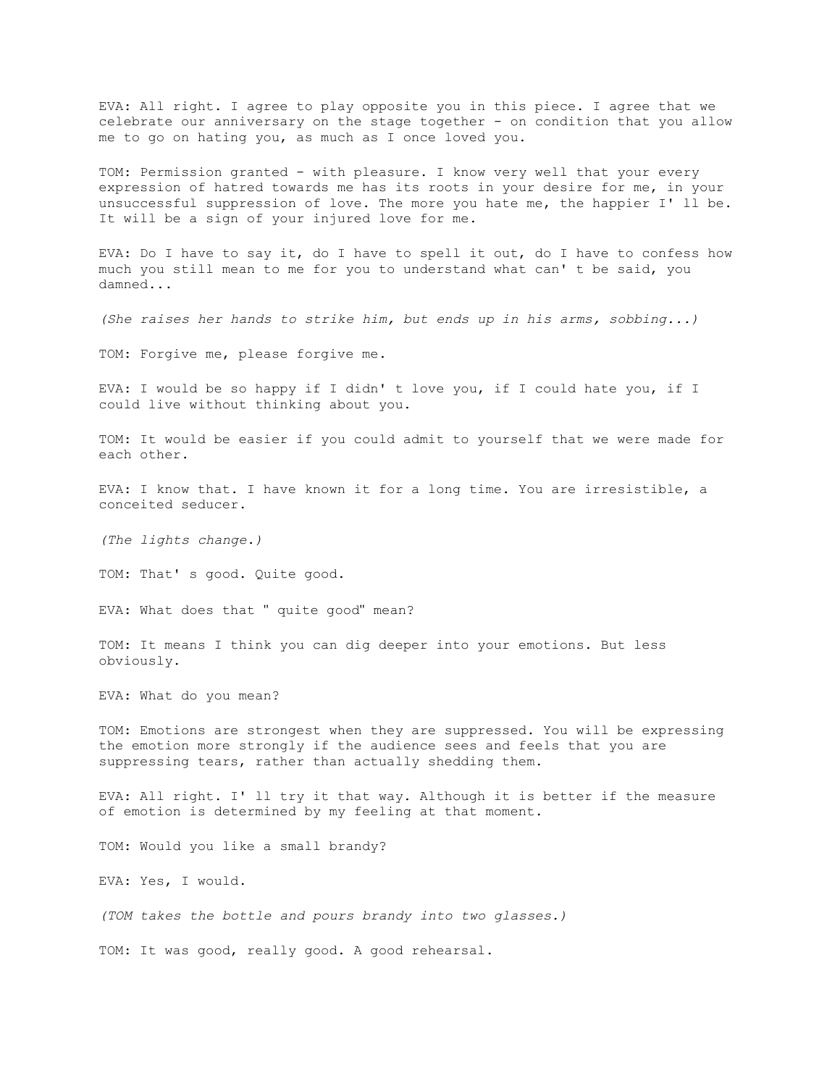EVA: All right. I agree to play opposite you in this piece. I agree that we celebrate our anniversary on the stage together - on condition that you allow me to go on hating you, as much as I once loved you.

TOM: Permission granted - with pleasure. I know very well that your every expression of hatred towards me has its roots in your desire for me, in your unsuccessful suppression of love. The more you hate me, the happier I' ll be. It will be a sign of your injured love for me.

EVA: Do I have to say it, do I have to spell it out, do I have to confess how much you still mean to me for you to understand what can' t be said, you damned...

*(She raises her hands to strike him, but ends up in his arms, sobbing...)*

TOM: Forgive me, please forgive me.

EVA: I would be so happy if I didn' t love you, if I could hate you, if I could live without thinking about you.

TOM: It would be easier if you could admit to yourself that we were made for each other.

EVA: I know that. I have known it for a long time. You are irresistible, a conceited seducer.

*(The lights change.)*

TOM: That' s good. Quite good.

EVA: What does that " quite good" mean?

TOM: It means I think you can dig deeper into your emotions. But less obviously.

EVA: What do you mean?

TOM: Emotions are strongest when they are suppressed. You will be expressing the emotion more strongly if the audience sees and feels that you are suppressing tears, rather than actually shedding them.

EVA: All right. I' ll try it that way. Although it is better if the measure of emotion is determined by my feeling at that moment.

TOM: Would you like a small brandy?

EVA: Yes, I would.

*(TOM takes the bottle and pours brandy into two glasses.)*

TOM: It was good, really good. A good rehearsal.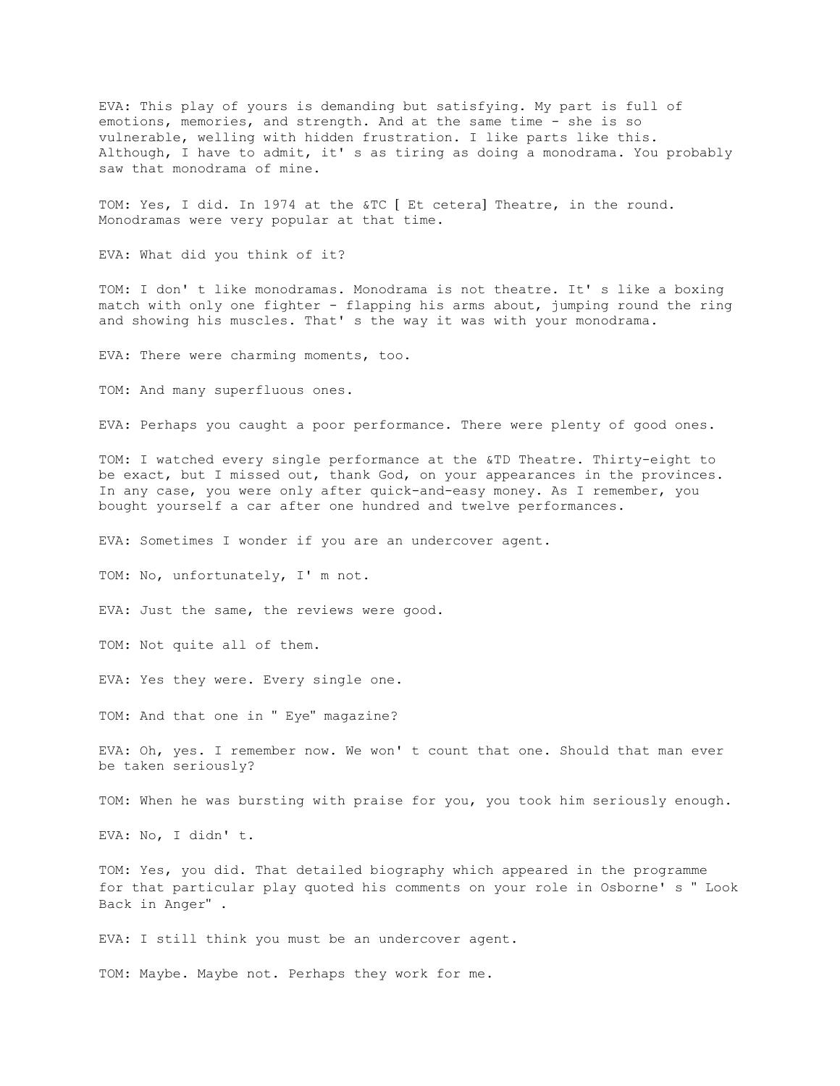EVA: This play of yours is demanding but satisfying. My part is full of emotions, memories, and strength. And at the same time - she is so vulnerable, welling with hidden frustration. I like parts like this. Although, I have to admit, it' s as tiring as doing a monodrama. You probably saw that monodrama of mine.

TOM: Yes, I did. In 1974 at the &TC [ Et cetera] Theatre, in the round. Monodramas were very popular at that time.

EVA: What did you think of it?

TOM: I don' t like monodramas. Monodrama is not theatre. It' s like a boxing match with only one fighter - flapping his arms about, jumping round the ring and showing his muscles. That' s the way it was with your monodrama.

EVA: There were charming moments, too.

TOM: And many superfluous ones.

EVA: Perhaps you caught a poor performance. There were plenty of good ones.

TOM: I watched every single performance at the &TD Theatre. Thirty-eight to be exact, but I missed out, thank God, on your appearances in the provinces. In any case, you were only after quick-and-easy money. As I remember, you bought yourself a car after one hundred and twelve performances.

EVA: Sometimes I wonder if you are an undercover agent.

TOM: No, unfortunately, I' m not.

EVA: Just the same, the reviews were good.

TOM: Not quite all of them.

EVA: Yes they were. Every single one.

TOM: And that one in " Eye" magazine?

EVA: Oh, yes. I remember now. We won' t count that one. Should that man ever be taken seriously?

TOM: When he was bursting with praise for you, you took him seriously enough.

EVA: No, I didn' t.

TOM: Yes, you did. That detailed biography which appeared in the programme for that particular play quoted his comments on your role in Osborne' s " Look Back in Anger" .

EVA: I still think you must be an undercover agent.

TOM: Maybe. Maybe not. Perhaps they work for me.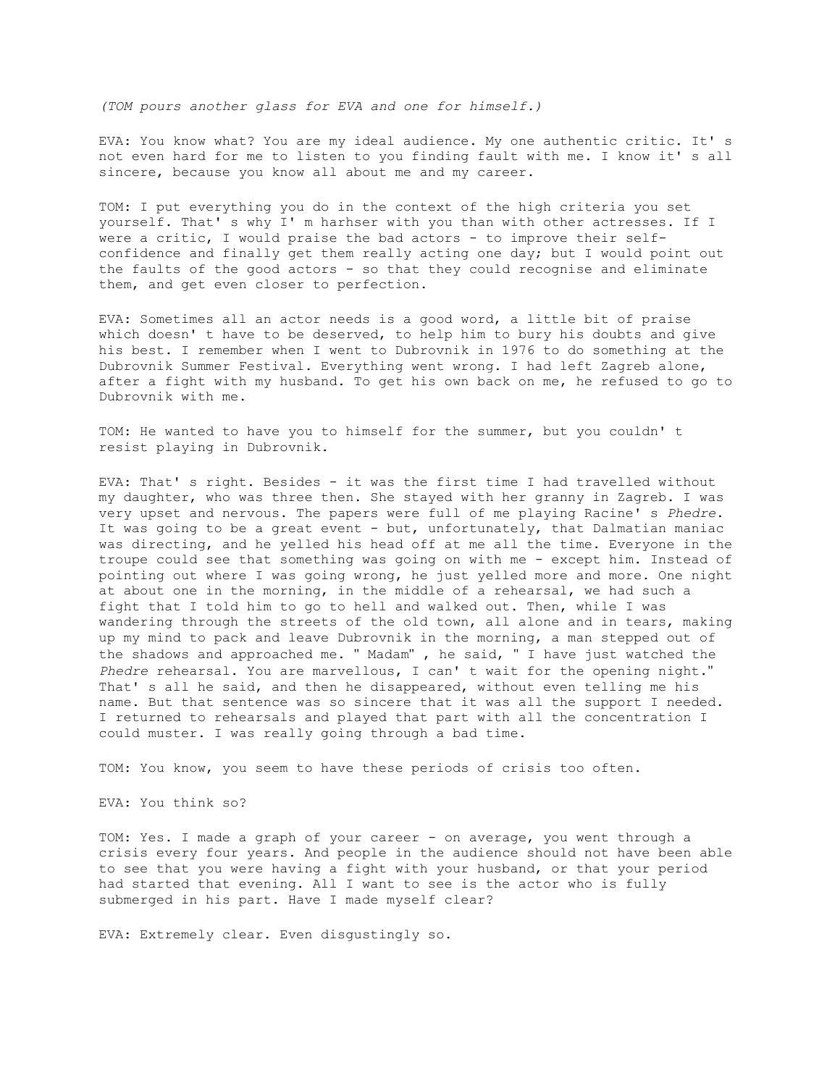*(TOM pours another glass for EVA and one for himself.)*

EVA: You know what? You are my ideal audience. My one authentic critic. It' s not even hard for me to listen to you finding fault with me. I know it' s all sincere, because you know all about me and my career.

TOM: I put everything you do in the context of the high criteria you set yourself. That' s why I' m harhser with you than with other actresses. If I were a critic, I would praise the bad actors - to improve their selfconfidence and finally get them really acting one day; but I would point out the faults of the good actors - so that they could recognise and eliminate them, and get even closer to perfection.

EVA: Sometimes all an actor needs is a good word, a little bit of praise which doesn' t have to be deserved, to help him to bury his doubts and give his best. I remember when I went to Dubrovnik in 1976 to do something at the Dubrovnik Summer Festival. Everything went wrong. I had left Zagreb alone, after a fight with my husband. To get his own back on me, he refused to go to Dubrovnik with me.

TOM: He wanted to have you to himself for the summer, but you couldn' t resist playing in Dubrovnik.

EVA: That' s right. Besides - it was the first time I had travelled without my daughter, who was three then. She stayed with her granny in Zagreb. I was very upset and nervous. The papers were full of me playing Racine' s *Phedre*. It was going to be a great event - but, unfortunately, that Dalmatian maniac was directing, and he yelled his head off at me all the time. Everyone in the troupe could see that something was going on with me - except him. Instead of pointing out where I was going wrong, he just yelled more and more. One night at about one in the morning, in the middle of a rehearsal, we had such a fight that I told him to go to hell and walked out. Then, while I was wandering through the streets of the old town, all alone and in tears, making up my mind to pack and leave Dubrovnik in the morning, a man stepped out of the shadows and approached me. " Madam" , he said, " I have just watched the *Phedre* rehearsal. You are marvellous, I can' t wait for the opening night." That' s all he said, and then he disappeared, without even telling me his name. But that sentence was so sincere that it was all the support I needed. I returned to rehearsals and played that part with all the concentration I could muster. I was really going through a bad time.

TOM: You know, you seem to have these periods of crisis too often.

EVA: You think so?

TOM: Yes. I made a graph of your career - on average, you went through a crisis every four years. And people in the audience should not have been able to see that you were having a fight with your husband, or that your period had started that evening. All I want to see is the actor who is fully submerged in his part. Have I made myself clear?

EVA: Extremely clear. Even disgustingly so.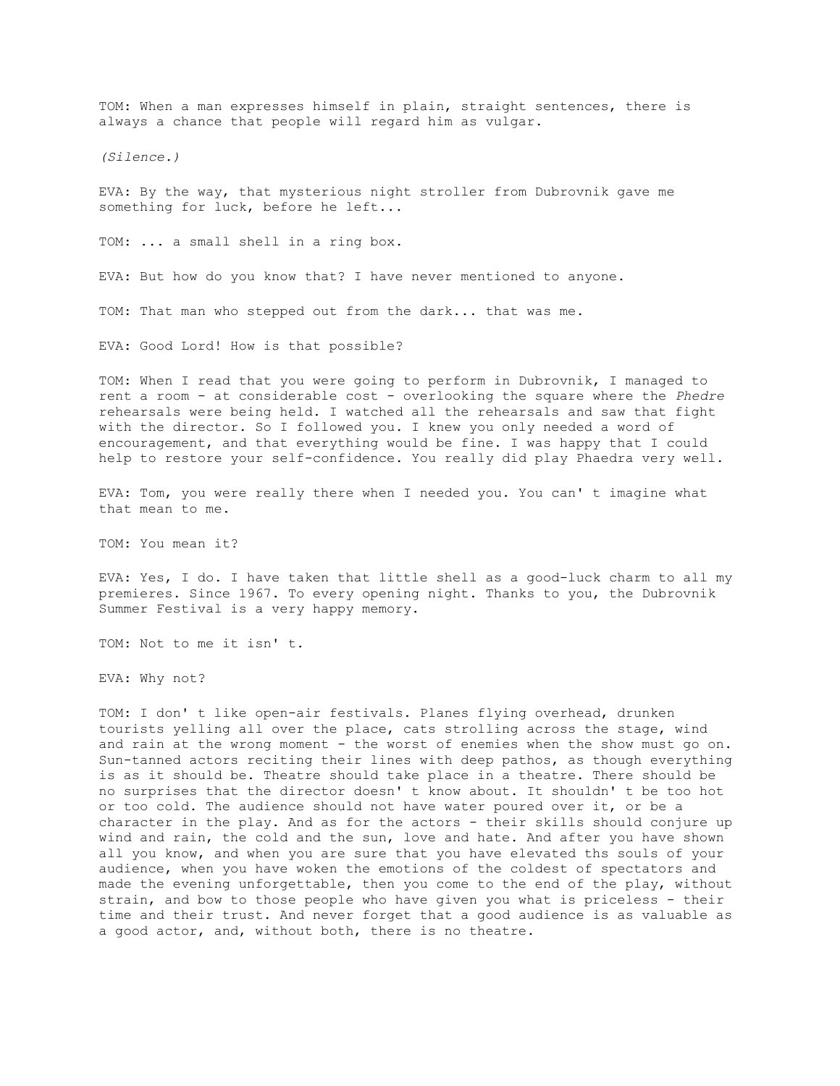TOM: When a man expresses himself in plain, straight sentences, there is always a chance that people will regard him as vulgar.

*(Silence.)*

EVA: By the way, that mysterious night stroller from Dubrovnik gave me something for luck, before he left...

TOM: ... a small shell in a ring box.

EVA: But how do you know that? I have never mentioned to anyone.

TOM: That man who stepped out from the dark... that was me.

EVA: Good Lord! How is that possible?

TOM: When I read that you were going to perform in Dubrovnik, I managed to rent a room - at considerable cost - overlooking the square where the *Phedre* rehearsals were being held. I watched all the rehearsals and saw that fight with the director. So I followed you. I knew you only needed a word of encouragement, and that everything would be fine. I was happy that I could help to restore your self-confidence. You really did play Phaedra very well.

EVA: Tom, you were really there when I needed you. You can' t imagine what that mean to me.

TOM: You mean it?

EVA: Yes, I do. I have taken that little shell as a good-luck charm to all my premieres. Since 1967. To every opening night. Thanks to you, the Dubrovnik Summer Festival is a very happy memory.

TOM: Not to me it isn' t.

EVA: Why not?

TOM: I don' t like open-air festivals. Planes flying overhead, drunken tourists yelling all over the place, cats strolling across the stage, wind and rain at the wrong moment - the worst of enemies when the show must go on. Sun-tanned actors reciting their lines with deep pathos, as though everything is as it should be. Theatre should take place in a theatre. There should be no surprises that the director doesn' t know about. It shouldn' t be too hot or too cold. The audience should not have water poured over it, or be a character in the play. And as for the actors - their skills should conjure up wind and rain, the cold and the sun, love and hate. And after you have shown all you know, and when you are sure that you have elevated ths souls of your audience, when you have woken the emotions of the coldest of spectators and made the evening unforgettable, then you come to the end of the play, without strain, and bow to those people who have given you what is priceless - their time and their trust. And never forget that a good audience is as valuable as a good actor, and, without both, there is no theatre.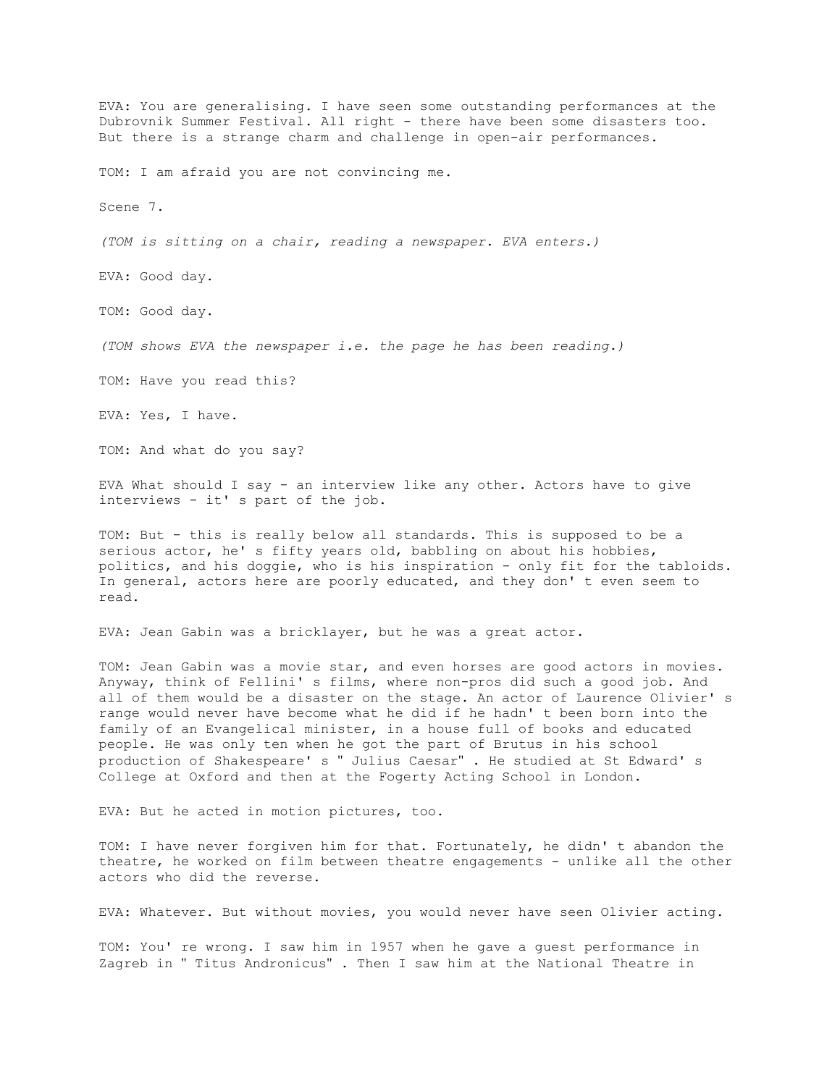EVA: You are generalising. I have seen some outstanding performances at the Dubrovnik Summer Festival. All right - there have been some disasters too. But there is a strange charm and challenge in open-air performances. TOM: I am afraid you are not convincing me. Scene 7. *(TOM is sitting on a chair, reading a newspaper. EVA enters.)* EVA: Good day. TOM: Good day. *(TOM shows EVA the newspaper i.e. the page he has been reading.)* TOM: Have you read this? EVA: Yes, I have. TOM: And what do you say? EVA What should I say - an interview like any other. Actors have to give interviews - it' s part of the job. TOM: But - this is really below all standards. This is supposed to be a serious actor, he' s fifty years old, babbling on about his hobbies, politics, and his doggie, who is his inspiration - only fit for the tabloids. In general, actors here are poorly educated, and they don' t even seem to read. EVA: Jean Gabin was a bricklayer, but he was a great actor. TOM: Jean Gabin was a movie star, and even horses are good actors in movies. Anyway, think of Fellini' s films, where non-pros did such a good job. And all of them would be a disaster on the stage. An actor of Laurence Olivier' s

range would never have become what he did if he hadn' t been born into the family of an Evangelical minister, in a house full of books and educated people. He was only ten when he got the part of Brutus in his school production of Shakespeare' s " Julius Caesar" . He studied at St Edward' s College at Oxford and then at the Fogerty Acting School in London.

EVA: But he acted in motion pictures, too.

TOM: I have never forgiven him for that. Fortunately, he didn' t abandon the theatre, he worked on film between theatre engagements - unlike all the other actors who did the reverse.

EVA: Whatever. But without movies, you would never have seen Olivier acting.

TOM: You' re wrong. I saw him in 1957 when he gave a guest performance in Zagreb in " Titus Andronicus" . Then I saw him at the National Theatre in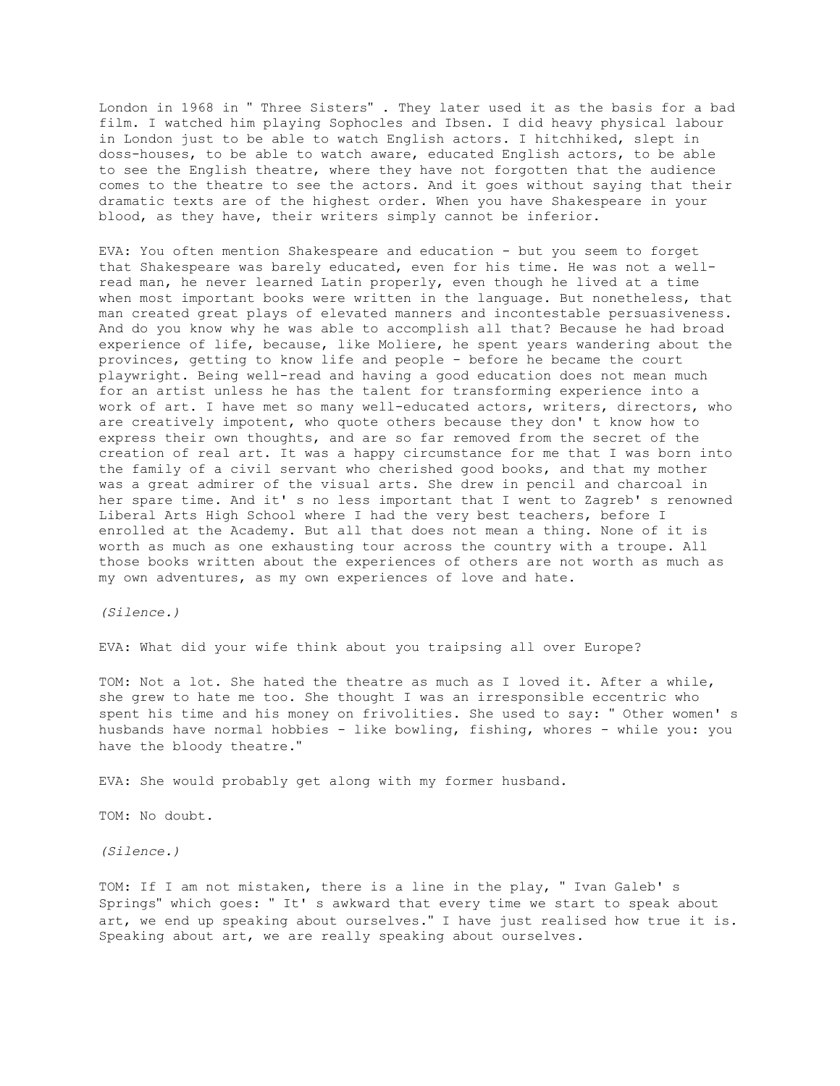London in 1968 in " Three Sisters" . They later used it as the basis for a bad film. I watched him playing Sophocles and Ibsen. I did heavy physical labour in London just to be able to watch English actors. I hitchhiked, slept in doss-houses, to be able to watch aware, educated English actors, to be able to see the English theatre, where they have not forgotten that the audience comes to the theatre to see the actors. And it goes without saying that their dramatic texts are of the highest order. When you have Shakespeare in your blood, as they have, their writers simply cannot be inferior.

EVA: You often mention Shakespeare and education - but you seem to forget that Shakespeare was barely educated, even for his time. He was not a wellread man, he never learned Latin properly, even though he lived at a time when most important books were written in the language. But nonetheless, that man created great plays of elevated manners and incontestable persuasiveness. And do you know why he was able to accomplish all that? Because he had broad experience of life, because, like Moliere, he spent years wandering about the provinces, getting to know life and people - before he became the court playwright. Being well-read and having a good education does not mean much for an artist unless he has the talent for transforming experience into a work of art. I have met so many well-educated actors, writers, directors, who are creatively impotent, who quote others because they don' t know how to express their own thoughts, and are so far removed from the secret of the creation of real art. It was a happy circumstance for me that I was born into the family of a civil servant who cherished good books, and that my mother was a great admirer of the visual arts. She drew in pencil and charcoal in her spare time. And it' s no less important that I went to Zagreb' s renowned Liberal Arts High School where I had the very best teachers, before I enrolled at the Academy. But all that does not mean a thing. None of it is worth as much as one exhausting tour across the country with a troupe. All those books written about the experiences of others are not worth as much as my own adventures, as my own experiences of love and hate.

*(Silence.)*

EVA: What did your wife think about you traipsing all over Europe?

TOM: Not a lot. She hated the theatre as much as I loved it. After a while, she grew to hate me too. She thought I was an irresponsible eccentric who spent his time and his money on frivolities. She used to say: " Other women' s husbands have normal hobbies - like bowling, fishing, whores - while you: you have the bloody theatre."

EVA: She would probably get along with my former husband.

TOM: No doubt.

*(Silence.)*

TOM: If I am not mistaken, there is a line in the play, " Ivan Galeb' s Springs" which goes: " It' s awkward that every time we start to speak about art, we end up speaking about ourselves." I have just realised how true it is. Speaking about art, we are really speaking about ourselves.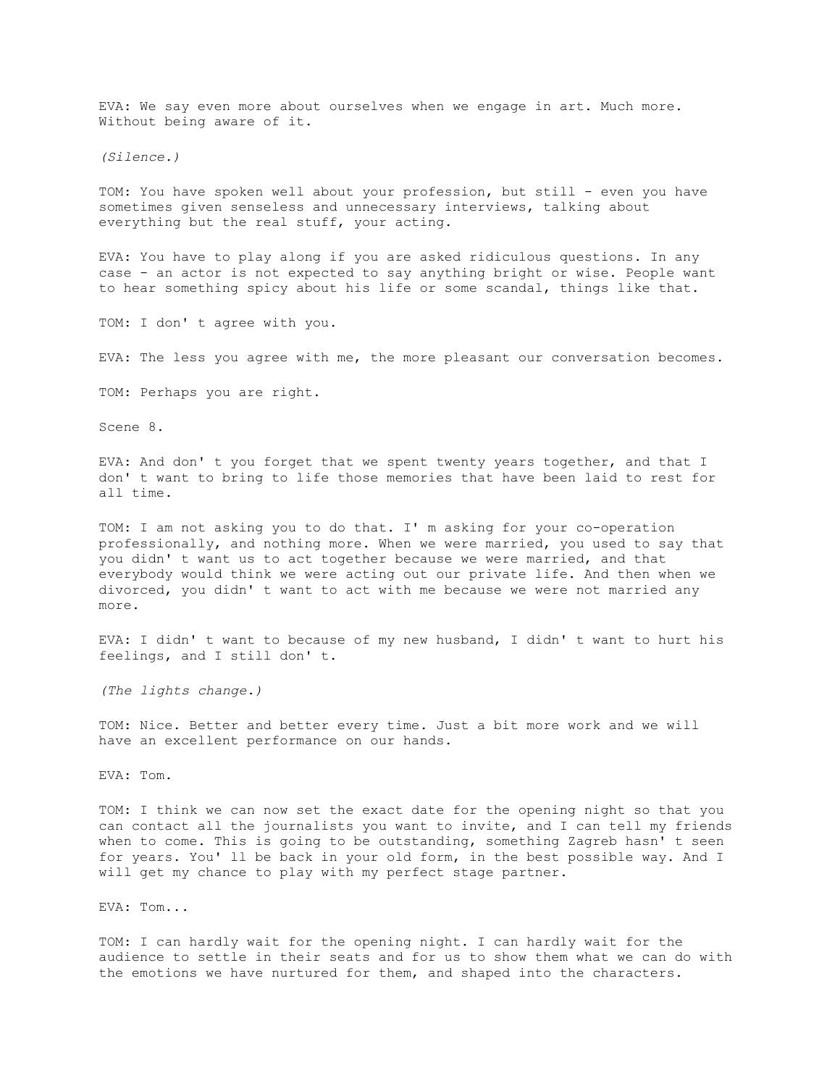EVA: We say even more about ourselves when we engage in art. Much more. Without being aware of it.

*(Silence.)*

TOM: You have spoken well about your profession, but still - even you have sometimes given senseless and unnecessary interviews, talking about everything but the real stuff, your acting.

EVA: You have to play along if you are asked ridiculous questions. In any case - an actor is not expected to say anything bright or wise. People want to hear something spicy about his life or some scandal, things like that.

TOM: I don' t agree with you.

EVA: The less you agree with me, the more pleasant our conversation becomes.

TOM: Perhaps you are right.

Scene 8.

EVA: And don' t you forget that we spent twenty years together, and that I don' t want to bring to life those memories that have been laid to rest for all time.

TOM: I am not asking you to do that. I' m asking for your co-operation professionally, and nothing more. When we were married, you used to say that you didn' t want us to act together because we were married, and that everybody would think we were acting out our private life. And then when we divorced, you didn' t want to act with me because we were not married any more.

EVA: I didn' t want to because of my new husband, I didn' t want to hurt his feelings, and I still don' t.

*(The lights change.)*

TOM: Nice. Better and better every time. Just a bit more work and we will have an excellent performance on our hands.

EVA: Tom.

TOM: I think we can now set the exact date for the opening night so that you can contact all the journalists you want to invite, and I can tell my friends when to come. This is going to be outstanding, something Zagreb hasn' t seen for years. You' ll be back in your old form, in the best possible way. And I will get my chance to play with my perfect stage partner.

EVA: Tom...

TOM: I can hardly wait for the opening night. I can hardly wait for the audience to settle in their seats and for us to show them what we can do with the emotions we have nurtured for them, and shaped into the characters.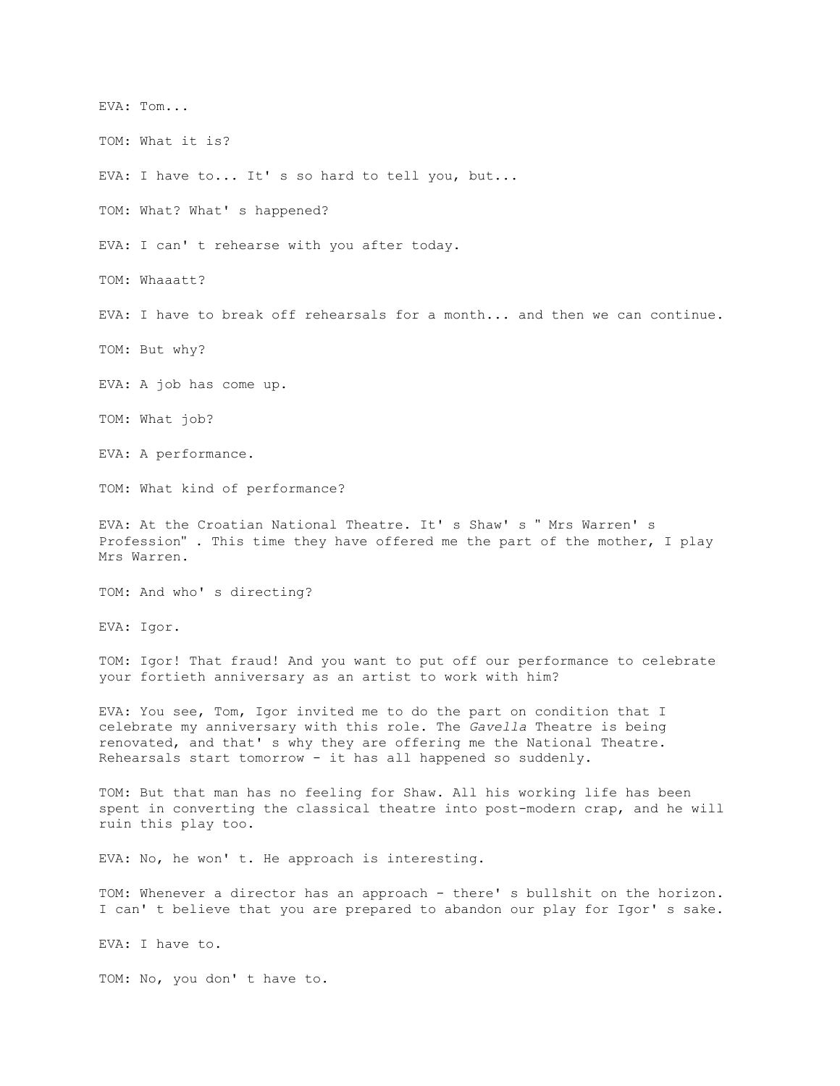EVA: Tom...

TOM: What it is?

EVA: I have to... It's so hard to tell you, but...

TOM: What? What' s happened?

EVA: I can' t rehearse with you after today.

TOM: Whaaatt?

EVA: I have to break off rehearsals for a month... and then we can continue.

TOM: But why?

EVA: A job has come up.

TOM: What job?

EVA: A performance.

TOM: What kind of performance?

EVA: At the Croatian National Theatre. It' s Shaw' s " Mrs Warren' s Profession" . This time they have offered me the part of the mother, I play Mrs Warren.

TOM: And who' s directing?

EVA: Igor.

TOM: Igor! That fraud! And you want to put off our performance to celebrate your fortieth anniversary as an artist to work with him?

EVA: You see, Tom, Igor invited me to do the part on condition that I celebrate my anniversary with this role. The *Gavella* Theatre is being renovated, and that' s why they are offering me the National Theatre. Rehearsals start tomorrow - it has all happened so suddenly.

TOM: But that man has no feeling for Shaw. All his working life has been spent in converting the classical theatre into post-modern crap, and he will ruin this play too.

EVA: No, he won' t. He approach is interesting.

TOM: Whenever a director has an approach - there' s bullshit on the horizon. I can' t believe that you are prepared to abandon our play for Igor' s sake.

EVA: I have to.

TOM: No, you don' t have to.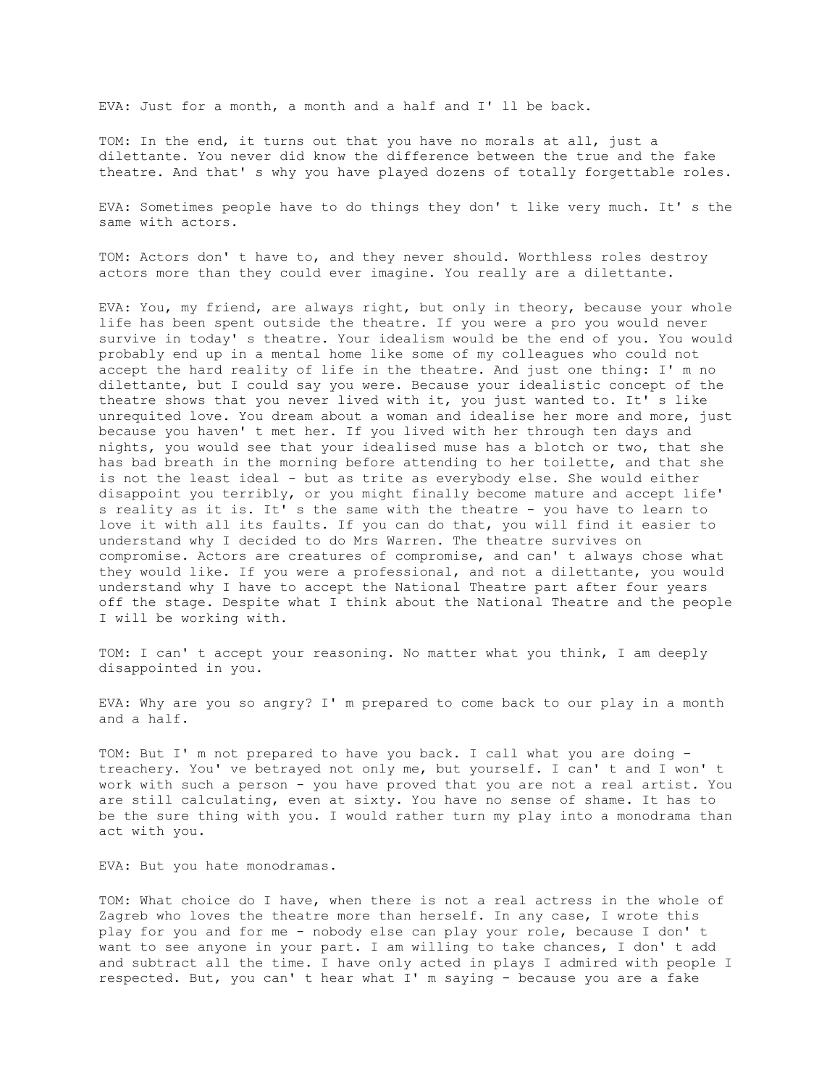EVA: Just for a month, a month and a half and I' ll be back.

TOM: In the end, it turns out that you have no morals at all, just a dilettante. You never did know the difference between the true and the fake theatre. And that' s why you have played dozens of totally forgettable roles.

EVA: Sometimes people have to do things they don' t like very much. It' s the same with actors.

TOM: Actors don' t have to, and they never should. Worthless roles destroy actors more than they could ever imagine. You really are a dilettante.

EVA: You, my friend, are always right, but only in theory, because your whole life has been spent outside the theatre. If you were a pro you would never survive in today' s theatre. Your idealism would be the end of you. You would probably end up in a mental home like some of my colleagues who could not accept the hard reality of life in the theatre. And just one thing: I' m no dilettante, but I could say you were. Because your idealistic concept of the theatre shows that you never lived with it, you just wanted to. It' s like unrequited love. You dream about a woman and idealise her more and more, just because you haven' t met her. If you lived with her through ten days and nights, you would see that your idealised muse has a blotch or two, that she has bad breath in the morning before attending to her toilette, and that she is not the least ideal - but as trite as everybody else. She would either disappoint you terribly, or you might finally become mature and accept life' s reality as it is. It' s the same with the theatre - you have to learn to love it with all its faults. If you can do that, you will find it easier to understand why I decided to do Mrs Warren. The theatre survives on compromise. Actors are creatures of compromise, and can' t always chose what they would like. If you were a professional, and not a dilettante, you would understand why I have to accept the National Theatre part after four years off the stage. Despite what I think about the National Theatre and the people I will be working with.

TOM: I can' t accept your reasoning. No matter what you think, I am deeply disappointed in you.

EVA: Why are you so angry? I' m prepared to come back to our play in a month and a half.

TOM: But I' m not prepared to have you back. I call what you are doing treachery. You' ve betrayed not only me, but yourself. I can' t and I won' t work with such a person - you have proved that you are not a real artist. You are still calculating, even at sixty. You have no sense of shame. It has to be the sure thing with you. I would rather turn my play into a monodrama than act with you.

EVA: But you hate monodramas.

TOM: What choice do I have, when there is not a real actress in the whole of Zagreb who loves the theatre more than herself. In any case, I wrote this play for you and for me - nobody else can play your role, because I don' t want to see anyone in your part. I am willing to take chances, I don' t add and subtract all the time. I have only acted in plays I admired with people I respected. But, you can' t hear what I' m saying - because you are a fake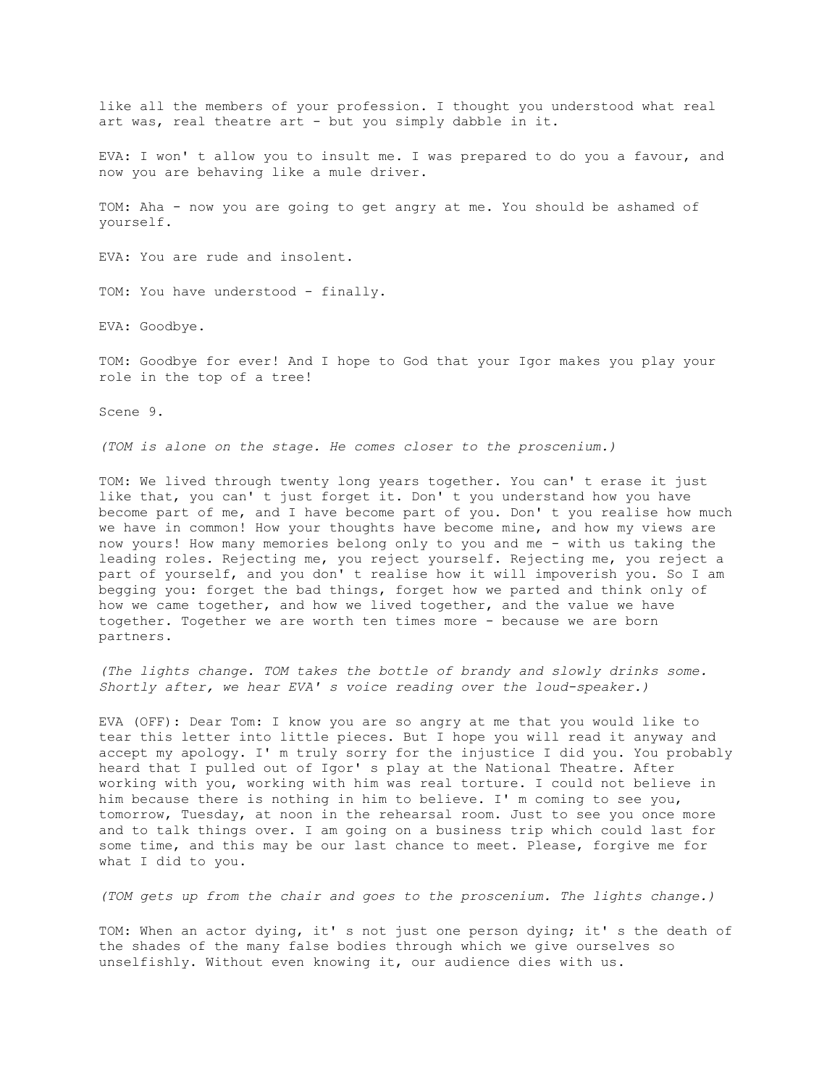like all the members of your profession. I thought you understood what real art was, real theatre art - but you simply dabble in it.

EVA: I won' t allow you to insult me. I was prepared to do you a favour, and now you are behaving like a mule driver.

TOM: Aha - now you are going to get angry at me. You should be ashamed of yourself.

EVA: You are rude and insolent.

TOM: You have understood - finally.

EVA: Goodbye.

TOM: Goodbye for ever! And I hope to God that your Igor makes you play your role in the top of a tree!

Scene 9.

*(TOM is alone on the stage. He comes closer to the proscenium.)*

TOM: We lived through twenty long years together. You can' t erase it just like that, you can' t just forget it. Don' t you understand how you have become part of me, and I have become part of you. Don' t you realise how much we have in common! How your thoughts have become mine, and how my views are now yours! How many memories belong only to you and me - with us taking the leading roles. Rejecting me, you reject yourself. Rejecting me, you reject a part of yourself, and you don' t realise how it will impoverish you. So I am begging you: forget the bad things, forget how we parted and think only of how we came together, and how we lived together, and the value we have together. Together we are worth ten times more - because we are born partners.

*(The lights change. TOM takes the bottle of brandy and slowly drinks some. Shortly after, we hear EVA' s voice reading over the loud-speaker.)*

EVA (OFF): Dear Tom: I know you are so angry at me that you would like to tear this letter into little pieces. But I hope you will read it anyway and accept my apology. I' m truly sorry for the injustice I did you. You probably heard that I pulled out of Igor' s play at the National Theatre. After working with you, working with him was real torture. I could not believe in him because there is nothing in him to believe. I' m coming to see you, tomorrow, Tuesday, at noon in the rehearsal room. Just to see you once more and to talk things over. I am going on a business trip which could last for some time, and this may be our last chance to meet. Please, forgive me for what I did to you.

*(TOM gets up from the chair and goes to the proscenium. The lights change.)*

TOM: When an actor dying, it' s not just one person dying; it' s the death of the shades of the many false bodies through which we give ourselves so unselfishly. Without even knowing it, our audience dies with us.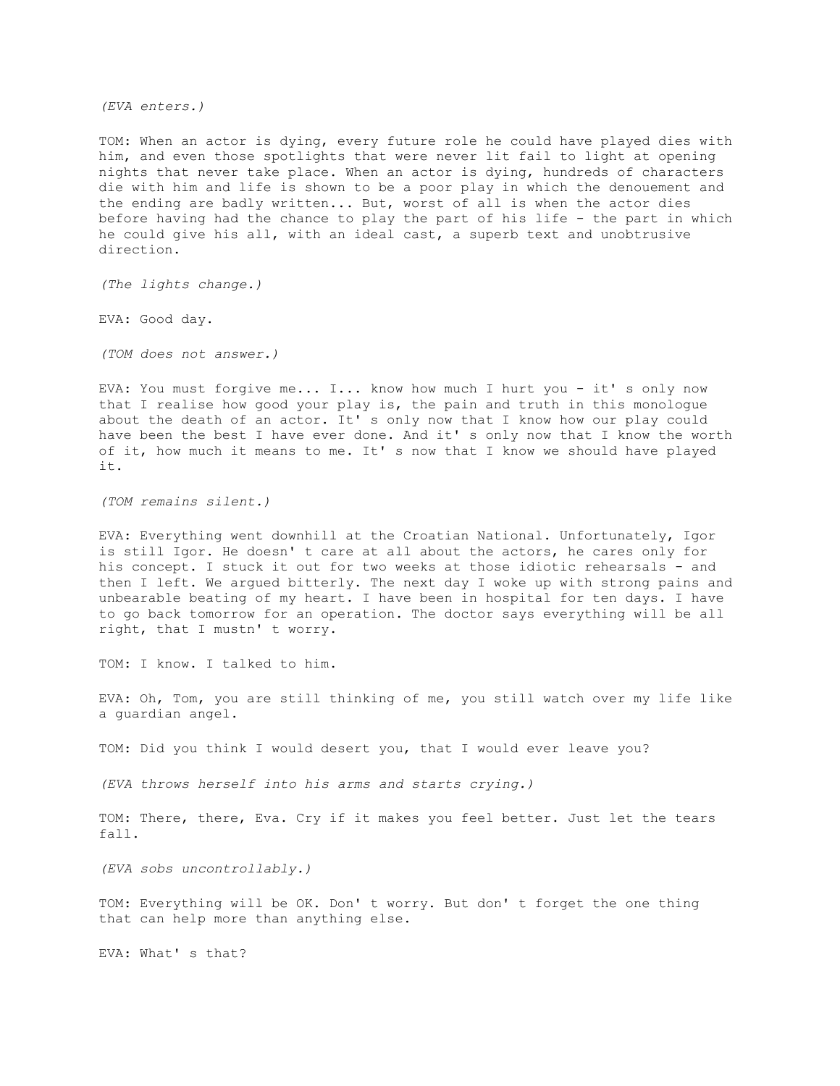*(EVA enters.)*

TOM: When an actor is dying, every future role he could have played dies with him, and even those spotlights that were never lit fail to light at opening nights that never take place. When an actor is dying, hundreds of characters die with him and life is shown to be a poor play in which the denouement and the ending are badly written... But, worst of all is when the actor dies before having had the chance to play the part of his life - the part in which he could give his all, with an ideal cast, a superb text and unobtrusive direction.

*(The lights change.)*

EVA: Good day.

*(TOM does not answer.)*

EVA: You must forgive me... I... know how much I hurt you - it' s only now that I realise how good your play is, the pain and truth in this monologue about the death of an actor. It' s only now that I know how our play could have been the best I have ever done. And it' s only now that I know the worth of it, how much it means to me. It' s now that I know we should have played it.

*(TOM remains silent.)*

EVA: Everything went downhill at the Croatian National. Unfortunately, Igor is still Igor. He doesn' t care at all about the actors, he cares only for his concept. I stuck it out for two weeks at those idiotic rehearsals - and then I left. We argued bitterly. The next day I woke up with strong pains and unbearable beating of my heart. I have been in hospital for ten days. I have to go back tomorrow for an operation. The doctor says everything will be all right, that I mustn' t worry.

TOM: I know. I talked to him.

EVA: Oh, Tom, you are still thinking of me, you still watch over my life like a guardian angel.

TOM: Did you think I would desert you, that I would ever leave you?

*(EVA throws herself into his arms and starts crying.)*

TOM: There, there, Eva. Cry if it makes you feel better. Just let the tears fall.

*(EVA sobs uncontrollably.)*

TOM: Everything will be OK. Don' t worry. But don' t forget the one thing that can help more than anything else.

EVA: What' s that?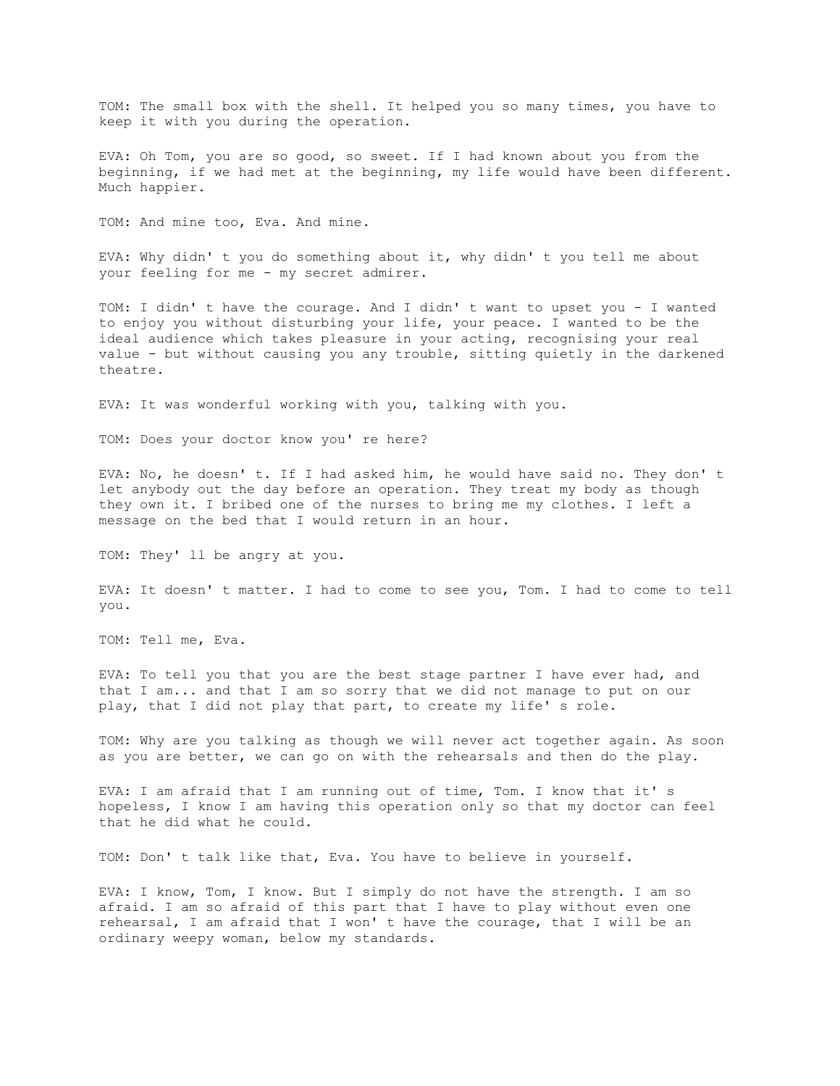TOM: The small box with the shell. It helped you so many times, you have to keep it with you during the operation.

EVA: Oh Tom, you are so good, so sweet. If I had known about you from the beginning, if we had met at the beginning, my life would have been different. Much happier.

TOM: And mine too, Eva. And mine.

EVA: Why didn' t you do something about it, why didn' t you tell me about your feeling for me - my secret admirer.

TOM: I didn' t have the courage. And I didn' t want to upset you - I wanted to enjoy you without disturbing your life, your peace. I wanted to be the ideal audience which takes pleasure in your acting, recognising your real value - but without causing you any trouble, sitting quietly in the darkened theatre.

EVA: It was wonderful working with you, talking with you.

TOM: Does your doctor know you' re here?

EVA: No, he doesn' t. If I had asked him, he would have said no. They don' t let anybody out the day before an operation. They treat my body as though they own it. I bribed one of the nurses to bring me my clothes. I left a message on the bed that I would return in an hour.

TOM: They' ll be angry at you.

EVA: It doesn' t matter. I had to come to see you, Tom. I had to come to tell you.

TOM: Tell me, Eva.

EVA: To tell you that you are the best stage partner I have ever had, and that I am... and that I am so sorry that we did not manage to put on our play, that I did not play that part, to create my life' s role.

TOM: Why are you talking as though we will never act together again. As soon as you are better, we can go on with the rehearsals and then do the play.

EVA: I am afraid that I am running out of time, Tom. I know that it' s hopeless, I know I am having this operation only so that my doctor can feel that he did what he could.

TOM: Don' t talk like that, Eva. You have to believe in yourself.

EVA: I know, Tom, I know. But I simply do not have the strength. I am so afraid. I am so afraid of this part that I have to play without even one rehearsal, I am afraid that I won' t have the courage, that I will be an ordinary weepy woman, below my standards.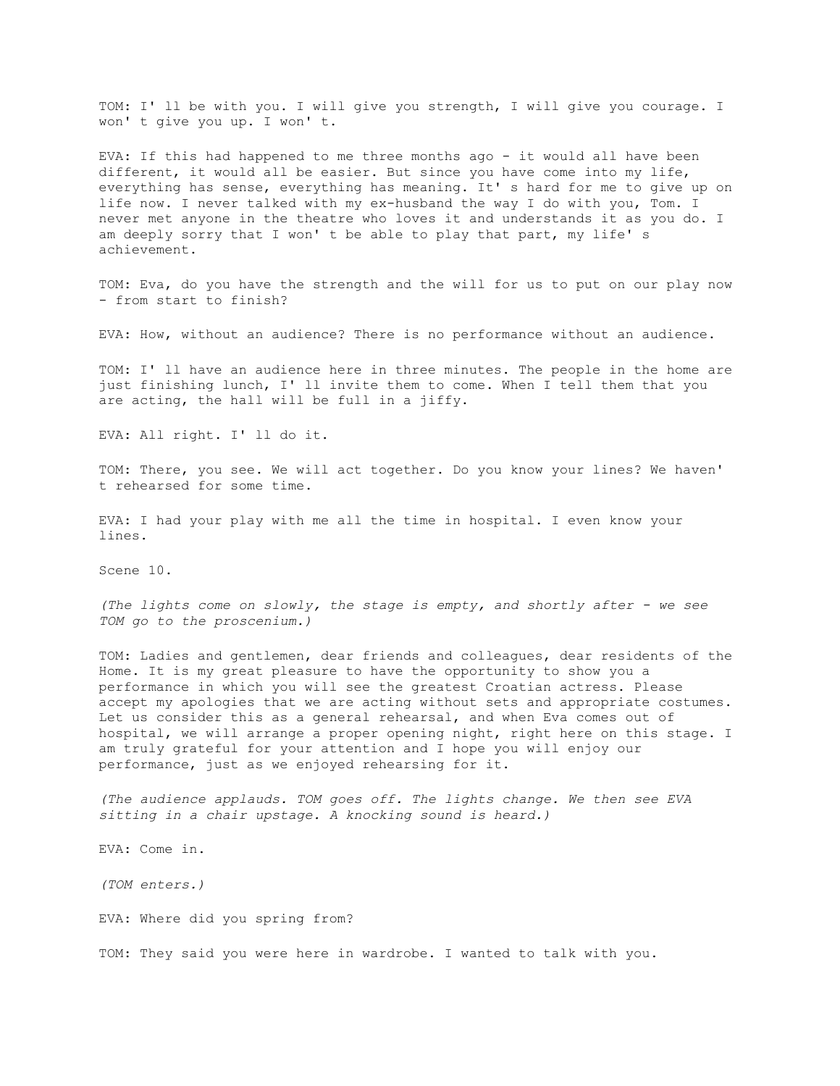TOM: I' ll be with you. I will give you strength, I will give you courage. I won' t give you up. I won' t.

EVA: If this had happened to me three months ago - it would all have been different, it would all be easier. But since you have come into my life, everything has sense, everything has meaning. It' s hard for me to give up on life now. I never talked with my ex-husband the way I do with you, Tom. I never met anyone in the theatre who loves it and understands it as you do. I am deeply sorry that I won' t be able to play that part, my life' s achievement.

TOM: Eva, do you have the strength and the will for us to put on our play now - from start to finish?

EVA: How, without an audience? There is no performance without an audience.

TOM: I' ll have an audience here in three minutes. The people in the home are just finishing lunch, I' ll invite them to come. When I tell them that you are acting, the hall will be full in a jiffy.

EVA: All right. I' ll do it.

TOM: There, you see. We will act together. Do you know your lines? We haven' t rehearsed for some time.

EVA: I had your play with me all the time in hospital. I even know your lines.

Scene 10.

*(The lights come on slowly, the stage is empty, and shortly after - we see TOM go to the proscenium.)*

TOM: Ladies and gentlemen, dear friends and colleagues, dear residents of the Home. It is my great pleasure to have the opportunity to show you a performance in which you will see the greatest Croatian actress. Please accept my apologies that we are acting without sets and appropriate costumes. Let us consider this as a general rehearsal, and when Eva comes out of hospital, we will arrange a proper opening night, right here on this stage. I am truly grateful for your attention and I hope you will enjoy our performance, just as we enjoyed rehearsing for it.

*(The audience applauds. TOM goes off. The lights change. We then see EVA sitting in a chair upstage. A knocking sound is heard.)*

EVA: Come in.

*(TOM enters.)*

EVA: Where did you spring from?

TOM: They said you were here in wardrobe. I wanted to talk with you.